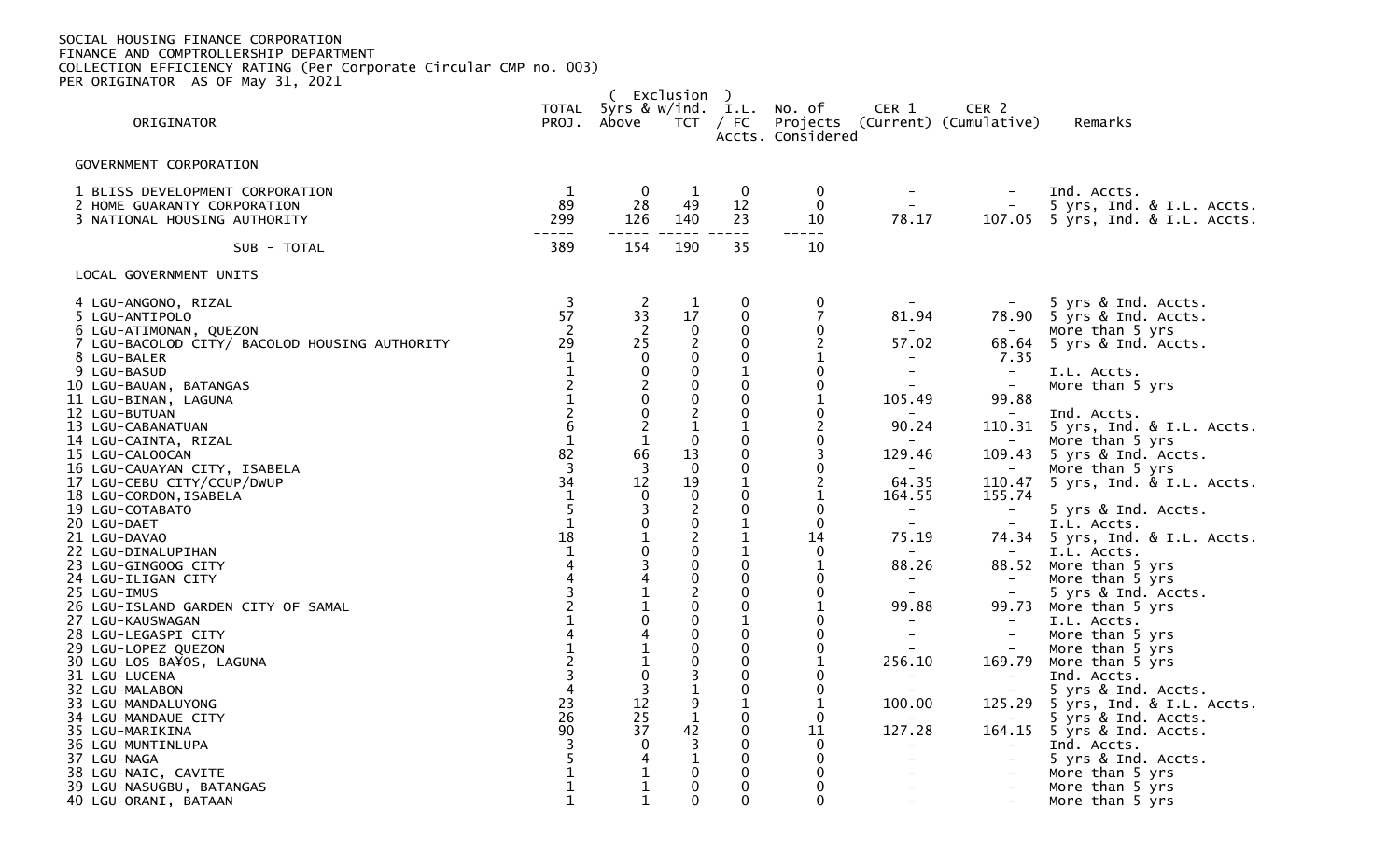| (Exclusion)                                                                                                                                                                                                                                                                                                                                                                                                                                                                                                                                                                                                                                                                                                |                                                                                                                                                                                                                                                                                                             |                                                                                                                                                                                                                                                                                                                                                                                             |                                                                                                                                                                                                                                                                                                                                                                                       |                                                                                                                                                                                                                                                                                                                                                                                                                                                                        |                                                                                                                                                                                                                                                                                                                                                             |                                                                                                                                                                                                                                                                                                                          |                                                                                                                                                                                                                                                                                                     |                                                                                                                                                                                                                                                                                                                                                                                                                                                                                                                                                                                                     |  |
|------------------------------------------------------------------------------------------------------------------------------------------------------------------------------------------------------------------------------------------------------------------------------------------------------------------------------------------------------------------------------------------------------------------------------------------------------------------------------------------------------------------------------------------------------------------------------------------------------------------------------------------------------------------------------------------------------------|-------------------------------------------------------------------------------------------------------------------------------------------------------------------------------------------------------------------------------------------------------------------------------------------------------------|---------------------------------------------------------------------------------------------------------------------------------------------------------------------------------------------------------------------------------------------------------------------------------------------------------------------------------------------------------------------------------------------|---------------------------------------------------------------------------------------------------------------------------------------------------------------------------------------------------------------------------------------------------------------------------------------------------------------------------------------------------------------------------------------|------------------------------------------------------------------------------------------------------------------------------------------------------------------------------------------------------------------------------------------------------------------------------------------------------------------------------------------------------------------------------------------------------------------------------------------------------------------------|-------------------------------------------------------------------------------------------------------------------------------------------------------------------------------------------------------------------------------------------------------------------------------------------------------------------------------------------------------------|--------------------------------------------------------------------------------------------------------------------------------------------------------------------------------------------------------------------------------------------------------------------------------------------------------------------------|-----------------------------------------------------------------------------------------------------------------------------------------------------------------------------------------------------------------------------------------------------------------------------------------------------|-----------------------------------------------------------------------------------------------------------------------------------------------------------------------------------------------------------------------------------------------------------------------------------------------------------------------------------------------------------------------------------------------------------------------------------------------------------------------------------------------------------------------------------------------------------------------------------------------------|--|
| ORIGINATOR                                                                                                                                                                                                                                                                                                                                                                                                                                                                                                                                                                                                                                                                                                 | TOTAL                                                                                                                                                                                                                                                                                                       | 5yrs & w/ind. I.L.<br>PROJ. Above                                                                                                                                                                                                                                                                                                                                                           | TCT                                                                                                                                                                                                                                                                                                                                                                                   | / FC                                                                                                                                                                                                                                                                                                                                                                                                                                                                   | No. of<br>Accts. Considered                                                                                                                                                                                                                                                                                                                                 | CER 1                                                                                                                                                                                                                                                                                                                    | CER 2<br>Projects (Current) (Cumulative)                                                                                                                                                                                                                                                            | Remarks                                                                                                                                                                                                                                                                                                                                                                                                                                                                                                                                                                                             |  |
| GOVERNMENT CORPORATION                                                                                                                                                                                                                                                                                                                                                                                                                                                                                                                                                                                                                                                                                     |                                                                                                                                                                                                                                                                                                             |                                                                                                                                                                                                                                                                                                                                                                                             |                                                                                                                                                                                                                                                                                                                                                                                       |                                                                                                                                                                                                                                                                                                                                                                                                                                                                        |                                                                                                                                                                                                                                                                                                                                                             |                                                                                                                                                                                                                                                                                                                          |                                                                                                                                                                                                                                                                                                     |                                                                                                                                                                                                                                                                                                                                                                                                                                                                                                                                                                                                     |  |
| 1 BLISS DEVELOPMENT CORPORATION<br>2 HOME GUARANTY CORPORATION<br>3 NATIONAL HOUSING AUTHORITY                                                                                                                                                                                                                                                                                                                                                                                                                                                                                                                                                                                                             | $\mathbf{1}$<br>89<br>299                                                                                                                                                                                                                                                                                   | $\mathbf 0$<br>28<br>126                                                                                                                                                                                                                                                                                                                                                                    | $\mathbf{1}$<br>49<br>140                                                                                                                                                                                                                                                                                                                                                             | $\overline{0}$<br>12<br>23                                                                                                                                                                                                                                                                                                                                                                                                                                             | 0<br>$\mathbf 0$<br>10<br>$-- -$                                                                                                                                                                                                                                                                                                                            | $\sim$ $-$<br>78.17                                                                                                                                                                                                                                                                                                      | $\sim$<br>107.05                                                                                                                                                                                                                                                                                    | Ind. Accts.<br>5 yrs, Ind. & I.L. Accts.<br>5 yrs, Ind. & I.L. Accts.                                                                                                                                                                                                                                                                                                                                                                                                                                                                                                                               |  |
| SUB - TOTAL                                                                                                                                                                                                                                                                                                                                                                                                                                                                                                                                                                                                                                                                                                | 389                                                                                                                                                                                                                                                                                                         | 154                                                                                                                                                                                                                                                                                                                                                                                         | 190                                                                                                                                                                                                                                                                                                                                                                                   | 35                                                                                                                                                                                                                                                                                                                                                                                                                                                                     | 10                                                                                                                                                                                                                                                                                                                                                          |                                                                                                                                                                                                                                                                                                                          |                                                                                                                                                                                                                                                                                                     |                                                                                                                                                                                                                                                                                                                                                                                                                                                                                                                                                                                                     |  |
| LOCAL GOVERNMENT UNITS                                                                                                                                                                                                                                                                                                                                                                                                                                                                                                                                                                                                                                                                                     |                                                                                                                                                                                                                                                                                                             |                                                                                                                                                                                                                                                                                                                                                                                             |                                                                                                                                                                                                                                                                                                                                                                                       |                                                                                                                                                                                                                                                                                                                                                                                                                                                                        |                                                                                                                                                                                                                                                                                                                                                             |                                                                                                                                                                                                                                                                                                                          |                                                                                                                                                                                                                                                                                                     |                                                                                                                                                                                                                                                                                                                                                                                                                                                                                                                                                                                                     |  |
| 4 LGU-ANGONO, RIZAL<br>5 LGU-ANTIPOLO<br>6 LGU-ATIMONAN, QUEZON<br>7 LGU-BACOLOD CITY/ BACOLOD HOUSING AUTHORITY<br>8 LGU-BALER<br>9 LGU-BASUD<br>10 LGU-BAUAN, BATANGAS<br>11 LGU-BINAN, LAGUNA<br>12 LGU-BUTUAN<br>13 LGU-CABANATUAN<br>14 LGU-CAINTA, RIZAL<br>15 LGU-CALOOCAN<br>16 LGU-CAUAYAN CITY, ISABELA<br>17 LGU-CEBU CITY/CCUP/DWUP<br>18 LGU-CORDON, ISABELA<br>19 LGU-COTABATO<br>20 LGU-DAET<br>21 LGU-DAVAO<br>22 LGU-DINALUPIHAN<br>23 LGU-GINGOOG CITY<br>24 LGU-ILIGAN CITY<br>25 LGU-IMUS<br>26 LGU-ISLAND GARDEN CITY OF SAMAL<br>27 LGU-KAUSWAGAN<br>28 LGU-LEGASPI CITY<br>29 LGU-LOPEZ QUEZON<br>30 LGU-LOS BA¥OS, LAGUNA<br>31 LGU-LUCENA<br>32 LGU-MALABON<br>33 LGU-MANDALUYONG | $\overline{\mathbf{3}}$<br>57<br>$\overline{2}$<br>29<br>1<br>$\mathbf{1}$<br>$\overline{2}$<br>$\mathbf{1}$<br>$\frac{2}{6}$<br>$\mathbf{1}$<br>82<br>$\overline{3}$<br>34<br>$\mathbf{1}$<br>$\frac{5}{1}$<br>18<br>$\mathbf{1}$<br>$\overline{4}$<br>$\overline{2}$<br>4<br>$\mathbf{1}$<br>3<br>4<br>23 | $\frac{2}{33}$<br>$\begin{bmatrix} 2 \\ 25 \\ 0 \end{bmatrix}$<br>$\overline{0}$<br>$^2_{\rm 0}$<br>$\overline{0}$<br>2<br>$\mathbf{1}$<br>66<br>$\overline{3}$<br>12<br>$\mathbf 0$<br>$_{\rm 0}^{\rm 3}$<br>$\frac{1}{0}$<br>$\overline{3}$<br>$\begin{array}{c} 4 \\ 1 \\ 1 \\ 0 \end{array}$<br>$\overline{4}$<br>$\mathbf 1$<br>$\mathbf{1}$<br>$\overline{0}$<br>$\overline{3}$<br>12 | $\mathbf{1}$<br>17<br>$\mathbf 0$<br>$^2_{\rm 0}$<br>$\mathbf 0$<br>$\pmb{0}$<br>$\mathbf 0$<br>$\overline{2}$<br>$\mathbf{1}$<br>$\mathbf 0$<br>13<br>$\overline{0}$<br>19<br>$\pmb{0}$<br>$\frac{2}{0}$<br>$\overline{2}$<br>$\pmb{0}$<br>$\mathbf 0$<br>$\pmb{0}$<br>$\overline{2}$<br>$\pmb{0}$<br>$\mathbf 0$<br>$\mathbf 0$<br>$\mathbf 0$<br>$\mathbf 0$<br>3<br>$\frac{9}{1}$ | $\mathbf 0$<br>$\mathbf{0}$<br>$\mathbf 0$<br>$\mathbf 0$<br>$\mathbf 0$<br>$\mathbf 1$<br>$\mathbf 0$<br>$\mathbf 0$<br>$\mathbf 0$<br>$\mathbf{1}$<br>$\mathbf 0$<br>$\mathbf 0$<br>$\mathbf 0$<br>$\mathbf{1}$<br>$\mathbf 0$<br>$\mathbf 0$<br>$\mathbf{1}$<br>$\mathbf{1}$<br>$\mathbf{1}$<br>$\mathbf 0$<br>$\mathbf 0$<br>$\mathbf 0$<br>$\mathbf 0$<br>$\mathbf{1}$<br>$\mathbf 0$<br>$\mathbf 0$<br>$\mathbf 0$<br>$\mathbf 0$<br>$\mathbf 0$<br>$\mathbf{1}$ | 0<br>$\overline{7}$<br>0<br>1<br>$\overline{0}$<br>$\boldsymbol{0}$<br>$\mathbf{1}$<br>0<br>$\overline{c}$<br>$\overline{0}$<br>3<br>$\overline{0}$<br>$\overline{c}$<br>$\mathbf{1}$<br>$\mathbf 0$<br>$\Omega$<br>14<br>$\mathbf 0$<br>$\mathbf{1}$<br>0<br>$\overline{0}$<br>1<br>0<br>$\Omega$<br>$\mathbf 0$<br>$\mathbf{1}$<br>0<br>0<br>$\mathbf{1}$ | 81.94<br>57.02<br>$\overline{\phantom{a}}$<br>$-$<br>$\overline{\phantom{0}}$<br>105.49<br>$\sim$<br>90.24<br>$\sim$<br>129.46<br>$\sim$<br>64.35<br>164.55<br>$\sim$<br>$\sim$<br>75.19<br>$\sim$<br>88.26<br>$\sim$<br>$\sim$<br>99.88<br>$\sim$<br>$\overline{\phantom{a}}$<br>$\sim$<br>256.10<br>$\equiv$<br>100.00 | $\sim$<br>68.64<br>7.35<br>$\sim$<br>$\sim$<br>99.88<br>$\overline{\phantom{a}}$<br>$-$<br>110.47<br>155.74<br>$\overline{\phantom{m}}$<br>$\equiv$<br>$\equiv$<br>88.52<br>$\equiv$<br>99.73<br>$\blacksquare$<br>$\equiv$<br>$\equiv$<br>169.79<br>$\overline{\phantom{m}}$<br>$\equiv$<br>125.29 | 5 yrs & Ind. Accts.<br>78.90 5 yrs & Ind. Accts.<br>More than 5 yrs<br>5 yrs & Ind. Accts.<br>I.L. Accts.<br>More than 5 yrs<br>Ind. Accts.<br>110.31 5 yrs, Ind. & I.L. Accts.<br>More than 5 yrs<br>109.43 5 yrs & Ind. Accts.<br>More than 5 yrs<br>5 yrs, Ind. & I.L. Accts.<br>5 yrs & Ind. Accts.<br>I.L. Accts.<br>74.34 5 yrs, Ind. & I.L. Accts.<br>I.L. Accts.<br>More than 5 yrs<br>More than 5 yrs<br>5 yrs & Ind. Accts.<br>More than 5 yrs<br>I.L. Accts.<br>More than 5 yrs<br>More than 5 yrs<br>More than 5 yrs<br>Ind. Accts.<br>5 yrs & Ind. Accts.<br>5 yrs, Ind. & I.L. Accts. |  |
| 34 LGU-MANDAUE CITY<br>35 LGU-MARIKINA<br>36 LGU-MUNTINLUPA<br>37 LGU-NAGA<br>38 LGU-NAIC, CAVITE<br>39 LGU-NASUGBU, BATANGAS<br>40 LGU-ORANI, BATAAN                                                                                                                                                                                                                                                                                                                                                                                                                                                                                                                                                      | 26<br>90<br>$\overline{3}$<br>5<br>$\mathbf{1}$<br>$\mathbf 1$<br>$\mathbf{1}$                                                                                                                                                                                                                              | 25<br>37<br>$\mathbf{0}$<br>4<br>$\mathbf{1}$<br>$\mathbf{1}$<br>$\mathbf{1}$                                                                                                                                                                                                                                                                                                               | $\begin{array}{c}\n4\overline{2} \\ 3 \\ 1\n\end{array}$<br>$\mathbf 0$<br>$\mathbf 0$<br>$\Omega$                                                                                                                                                                                                                                                                                    | $\mathbf 0$<br>$\mathbf 0$<br>$\Omega$<br>$\mathbf 0$<br>0<br>0<br>$\Omega$                                                                                                                                                                                                                                                                                                                                                                                            | $\mathbf 0$<br>11<br>$\Omega$<br>$\mathbf 0$<br>0<br>$\mathbf 0$<br>$\mathbf 0$                                                                                                                                                                                                                                                                             | 127.28<br>$\overline{\phantom{0}}$                                                                                                                                                                                                                                                                                       | $\sim$<br>$\blacksquare$<br>$\overline{\phantom{a}}$<br>$\equiv$                                                                                                                                                                                                                                    | 5 yrs & Ind. Accts.<br>164.15 5 yrs & Ind. Accts.<br>Ind. Accts.<br>5 yrs & Ind. Accts.<br>More than 5 yrs<br>More than 5 yrs<br>More than 5 yrs                                                                                                                                                                                                                                                                                                                                                                                                                                                    |  |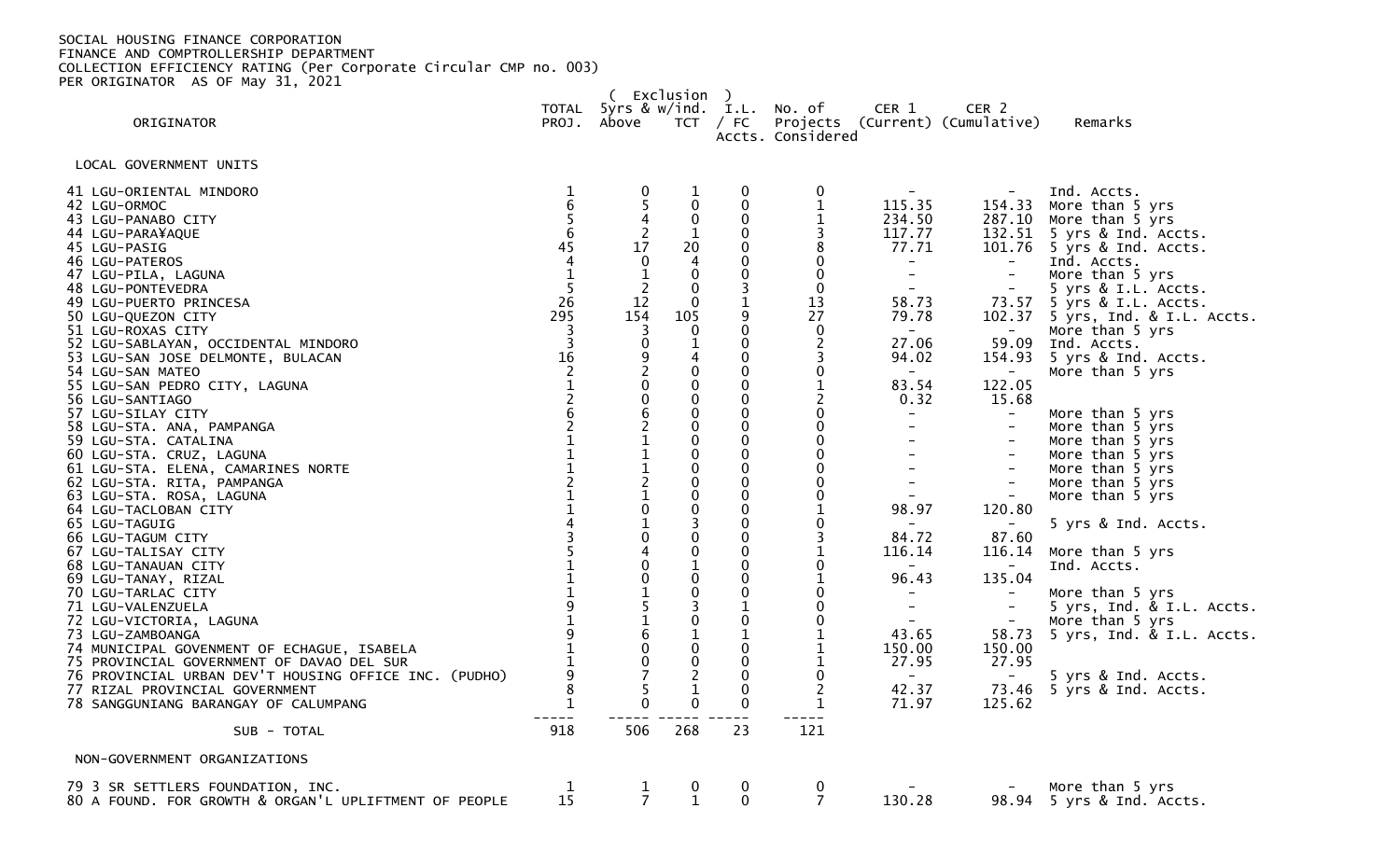|                                                                                                                                                                                                                                                                                                                                                                                                                                                                                                                                                                                                                                                                                                                                                                                                                                                                                                                                                                                                                                                           |                                                                                                                                                                                                                                                                                                                                                                                                                                                          |                                                                                                                                                                                                  | Exclusion )                                                                                                                                                                                                                                                                                                                                                                                                                                                                                                                                              |                                                                                                                                                                                                                                                                                                                                                                                                                                                                                                                                                   |                                                                                                                                                                                                                                                                                                                                                                                                                                                                                                      |                                                                                                                                                                                                                                                                                                                                                                                                                                               |                                                                                                                                                                                                                                                                                                                                                                                                       |                                                                                                                                                                                                                                                                                                                                                                                                                                                                                                                                                                                                                                                                         |
|-----------------------------------------------------------------------------------------------------------------------------------------------------------------------------------------------------------------------------------------------------------------------------------------------------------------------------------------------------------------------------------------------------------------------------------------------------------------------------------------------------------------------------------------------------------------------------------------------------------------------------------------------------------------------------------------------------------------------------------------------------------------------------------------------------------------------------------------------------------------------------------------------------------------------------------------------------------------------------------------------------------------------------------------------------------|----------------------------------------------------------------------------------------------------------------------------------------------------------------------------------------------------------------------------------------------------------------------------------------------------------------------------------------------------------------------------------------------------------------------------------------------------------|--------------------------------------------------------------------------------------------------------------------------------------------------------------------------------------------------|----------------------------------------------------------------------------------------------------------------------------------------------------------------------------------------------------------------------------------------------------------------------------------------------------------------------------------------------------------------------------------------------------------------------------------------------------------------------------------------------------------------------------------------------------------|---------------------------------------------------------------------------------------------------------------------------------------------------------------------------------------------------------------------------------------------------------------------------------------------------------------------------------------------------------------------------------------------------------------------------------------------------------------------------------------------------------------------------------------------------|------------------------------------------------------------------------------------------------------------------------------------------------------------------------------------------------------------------------------------------------------------------------------------------------------------------------------------------------------------------------------------------------------------------------------------------------------------------------------------------------------|-----------------------------------------------------------------------------------------------------------------------------------------------------------------------------------------------------------------------------------------------------------------------------------------------------------------------------------------------------------------------------------------------------------------------------------------------|-------------------------------------------------------------------------------------------------------------------------------------------------------------------------------------------------------------------------------------------------------------------------------------------------------------------------------------------------------------------------------------------------------|-------------------------------------------------------------------------------------------------------------------------------------------------------------------------------------------------------------------------------------------------------------------------------------------------------------------------------------------------------------------------------------------------------------------------------------------------------------------------------------------------------------------------------------------------------------------------------------------------------------------------------------------------------------------------|
| ORIGINATOR                                                                                                                                                                                                                                                                                                                                                                                                                                                                                                                                                                                                                                                                                                                                                                                                                                                                                                                                                                                                                                                |                                                                                                                                                                                                                                                                                                                                                                                                                                                          | PROJ. Above                                                                                                                                                                                      |                                                                                                                                                                                                                                                                                                                                                                                                                                                                                                                                                          | $TCT$ / FC                                                                                                                                                                                                                                                                                                                                                                                                                                                                                                                                        | TOTAL 5yrs & w/ind. I.L. No. of<br>Accts. Considered                                                                                                                                                                                                                                                                                                                                                                                                                                                 | CER 1                                                                                                                                                                                                                                                                                                                                                                                                                                         | CER <sub>2</sub><br>Projects (Current) (Cumulative)                                                                                                                                                                                                                                                                                                                                                   | Remarks                                                                                                                                                                                                                                                                                                                                                                                                                                                                                                                                                                                                                                                                 |
| LOCAL GOVERNMENT UNITS                                                                                                                                                                                                                                                                                                                                                                                                                                                                                                                                                                                                                                                                                                                                                                                                                                                                                                                                                                                                                                    |                                                                                                                                                                                                                                                                                                                                                                                                                                                          |                                                                                                                                                                                                  |                                                                                                                                                                                                                                                                                                                                                                                                                                                                                                                                                          |                                                                                                                                                                                                                                                                                                                                                                                                                                                                                                                                                   |                                                                                                                                                                                                                                                                                                                                                                                                                                                                                                      |                                                                                                                                                                                                                                                                                                                                                                                                                                               |                                                                                                                                                                                                                                                                                                                                                                                                       |                                                                                                                                                                                                                                                                                                                                                                                                                                                                                                                                                                                                                                                                         |
| 41 LGU-ORIENTAL MINDORO<br>42 LGU-ORMOC<br>43 LGU-PANABO CITY<br>44 LGU-PARA¥AQUE<br>45 LGU-PASIG<br>46 LGU-PATEROS<br>47 LGU-PILA, LAGUNA<br>48 LGU-PONTEVEDRA<br>49 LGU-PUERTO PRINCESA<br>50 LGU-QUEZON CITY<br>51 LGU-ROXAS CITY<br>52 LGU-SABLAYAN, OCCIDENTAL MINDORO<br>53 LGU-SAN JOSE DELMONTE, BULACAN<br>54 LGU-SAN MATEO<br>55 LGU-SAN PEDRO CITY, LAGUNA<br>56 LGU-SANTIAGO<br>57 LGU-SILAY CITY<br>58 LGU-STA. ANA, PAMPANGA<br>59 LGU-STA. CATALINA<br>60 LGU-STA. CRUZ, LAGUNA<br>61 LGU-STA. ELENA, CAMARINES NORTE<br>62 LGU-STA. RITA, PAMPANGA<br>63 LGU-STA. ROSA, LAGUNA<br>64 LGU-TACLOBAN CITY<br>65 LGU-TAGUIG<br>66 LGU-TAGUM CITY<br>67 LGU-TALISAY CITY<br>68 LGU-TANAUAN CITY<br>69 LGU-TANAY, RIZAL<br>70 LGU-TARLAC CITY<br>71 LGU-VALENZUELA<br>72 LGU-VICTORIA, LAGUNA<br>73 LGU-ZAMBOANGA<br>74 MUNICIPAL GOVENMENT OF ECHAGUE, ISABELA<br>75 PROVINCIAL GOVERNMENT OF DAVAO DEL SUR<br>76 PROVINCIAL URBAN DEV'T HOUSING OFFICE INC. (PUDHO)<br>77 RIZAL PROVINCIAL GOVERNMENT<br>78 SANGGUNIANG BARANGAY OF CALUMPANG | $\mathbf 1$<br>$\boldsymbol{6}$<br>5<br>$6\phantom{1}6$<br>$4\bar{5}$<br>$\overline{4}$<br>$\mathbf{1}$<br>5<br>26<br>295<br>$\overline{3}$<br>$\overline{\mathbf{3}}$<br>16<br>$\overline{2}$<br>$\mathbf{1}$<br>$\frac{2}{6}$<br>$\mathbf 1$<br>$\mathbf{1}$<br>$\overline{2}$<br>$\overline{1}$<br>$\begin{array}{c}\n1 \\ 4 \\ 3 \\ 5\n\end{array}$<br>$\mathbf{1}$<br>$\mathbf{1}$<br>9<br>$\overline{1}$<br>$\mathbf{1}$<br>9<br>8<br>$\mathbf{1}$ | $\frac{0}{5}$<br>$\frac{4}{17}$<br>$\mathbf 0$<br>$\mathbf{1}$<br>$\overline{2}$<br>$1\overline{2}$<br>154<br>$\overline{3}$<br>09200621112101040<br>0151600<br>$\overline{7}$<br>5<br>$\pmb{0}$ | $\mathbf{1}$<br>$\boldsymbol{0}$<br>$\mathbf 0$<br>$\mathbf{1}$<br>$\frac{20}{4}$<br>$\mathbf 0$<br>$\mathbf 0$<br>$\mathbf{0}$<br>105<br>$\mathbf 0$<br>$\frac{1}{4}$<br>$\mathbf 0$<br>$\mathbf 0$<br>$\mathbf 0$<br>$\mathbf 0$<br>$\pmb{0}$<br>$\mathbf 0$<br>$\pmb{0}$<br>$\mathbf 0$<br>$\mathbf 0$<br>$\mathbf 0$<br>$\mathbf 0$<br>$\overline{3}$<br>$\pmb{0}$<br>$\pmb{0}$<br>$\mathbf{1}$<br>$\pmb{0}$<br>$\check{\mathbf{0}}$<br>$\overline{3}$<br>$\mathbf 0$<br>$\frac{1}{0}$<br>$\pmb{0}$<br>$\overline{2}$<br>$\mathbf{1}$<br>$\mathbf 0$ | 0<br>$\ddot{\mathbf{0}}$<br>$\mathbf 0$<br>$\mathbf 0$<br>$\mathbf 0$<br>$\mathbf 0$<br>$\mathbf 0$<br>$\overline{3}$<br>$\mathbf{1}$<br>$_{0}^{9}$<br>$\mathbf 0$<br>$\mathbf 0$<br>$\Omega$<br>$\mathbf 0$<br>$\mathbf 0$<br>$\mathbf 0$<br>$\pmb{0}$<br>$\mathbf 0$<br>$\mathbf 0$<br>0<br>$\mathbf 0$<br>$\mathbf 0$<br>$\mathbf 0$<br>0<br>$\mathbf 0$<br>$\mathbf 0$<br>$\mathbf 0$<br>$\mathbf 0$<br>$\mathbf 0$<br>$\mathbf{1}$<br>$\mathbf 0$<br>$\mathbf{1}$<br>$\mathbf 0$<br>$\mathbf 0$<br>$\mathbf 0$<br>$\mathbf 0$<br>$\mathbf 0$ | 0<br>$\mathbf 1$<br>$\mathbf 1$<br>3<br>8<br>$\mathbf 0$<br>$\mathbf 0$<br>$\pmb{0}$<br>13<br>27<br>$\pmb{0}$<br>$\overline{2}$<br>3<br>$\mathbf 0$<br>$\mathbf 1$<br>$\overline{2}$<br>$\overline{0}$<br>$\pmb{0}$<br>$\mathbf 0$<br>$\pmb{0}$<br>$\mathbf 0$<br>$\mathbf 0$<br>$\mathbf 0$<br>$\mathbf{1}$<br>0<br>3<br>1<br>$\mathbf 0$<br>$\mathbf 1$<br>$\mathbf 0$<br>$\Omega$<br>$\mathbf 0$<br>$\mathbf{1}$<br>$\mathbf{1}$<br>$\mathbf{1}$<br>$\mathbf 0$<br>$\overline{2}$<br>$\mathbf{1}$ | $\sim$<br>115.35<br>234.50<br>117.77<br>77.71<br>$\frac{1}{2}$<br>$\blacksquare$<br>$\sim$<br>58.73<br>79.78<br>$\sim$ $-$<br>27.06<br>94.02<br>$\sim$<br>83.54<br>0.32<br>$\sim$ .<br>$-$<br>$\overline{\phantom{0}}$<br>$\blacksquare$<br>$\sim$<br>$\sim$<br>98.97<br>$\overline{\phantom{0}}$<br>84.72<br>116.14<br>$\sim$<br>96.43<br>$\sim$<br>$\blacksquare$<br>$\sim$ $-$<br>43.65<br>150.00<br>27.95<br>$\sim$ $-$<br>42.37<br>71.97 | 154.33<br>$\equiv$<br>$\blacksquare$<br>$\equiv$<br>73.57<br>$\sim$<br>59.09<br>$\blacksquare$<br>122.05<br>15.68<br>$\equiv$<br>$\blacksquare$<br>$\equiv$<br>$\blacksquare$<br>$\blacksquare$<br>$\equiv$<br>$\overline{\phantom{a}}$<br>120.80<br>$\sim$<br>87.60<br>116.14<br>$\sim$<br>135.04<br>$\overline{\phantom{a}}$<br>$\equiv$<br>$\equiv$<br>58.73<br>150.00<br>27.95<br>73.46<br>125.62 | Ind. Accts.<br>More than 5 yrs<br>287.10 More than 5 yrs<br>132.51 5 yrs & Ind. Accts.<br>101.76 5 yrs & Ind. Accts.<br>Ind. Accts.<br>More than 5 yrs<br>5 yrs & I.L. Accts.<br>5 yrs & I.L. Accts.<br>102.37 5 yrs, Ind. & I.L. Accts.<br>More than 5 yrs<br>Ind. Accts.<br>154.93 5 yrs & Ind. Accts.<br>More than 5 yrs<br>More than 5 yrs<br>More than 5 yrs<br>More than 5 yrs<br>More than 5 yrs<br>More than 5 yrs<br>More than 5 yrs<br>More than 5 yrs<br>5 yrs & Ind. Accts.<br>More than 5 yrs<br>Ind. Accts.<br>More than 5 yrs<br>5 yrs, Ind. & I.L. Accts.<br>More than 5 yrs<br>5 yrs, Ind. & I.L. Accts.<br>5 yrs & Ind. Accts.<br>5 yrs & Ind. Accts. |
| SUB - TOTAL                                                                                                                                                                                                                                                                                                                                                                                                                                                                                                                                                                                                                                                                                                                                                                                                                                                                                                                                                                                                                                               | 918                                                                                                                                                                                                                                                                                                                                                                                                                                                      | 506                                                                                                                                                                                              | 268                                                                                                                                                                                                                                                                                                                                                                                                                                                                                                                                                      | 23                                                                                                                                                                                                                                                                                                                                                                                                                                                                                                                                                | 121                                                                                                                                                                                                                                                                                                                                                                                                                                                                                                  |                                                                                                                                                                                                                                                                                                                                                                                                                                               |                                                                                                                                                                                                                                                                                                                                                                                                       |                                                                                                                                                                                                                                                                                                                                                                                                                                                                                                                                                                                                                                                                         |
| NON-GOVERNMENT ORGANIZATIONS                                                                                                                                                                                                                                                                                                                                                                                                                                                                                                                                                                                                                                                                                                                                                                                                                                                                                                                                                                                                                              |                                                                                                                                                                                                                                                                                                                                                                                                                                                          |                                                                                                                                                                                                  |                                                                                                                                                                                                                                                                                                                                                                                                                                                                                                                                                          |                                                                                                                                                                                                                                                                                                                                                                                                                                                                                                                                                   |                                                                                                                                                                                                                                                                                                                                                                                                                                                                                                      |                                                                                                                                                                                                                                                                                                                                                                                                                                               |                                                                                                                                                                                                                                                                                                                                                                                                       |                                                                                                                                                                                                                                                                                                                                                                                                                                                                                                                                                                                                                                                                         |
| 79 3 SR SETTLERS FOUNDATION, INC.<br>80 A FOUND. FOR GROWTH & ORGAN'L UPLIFTMENT OF PEOPLE                                                                                                                                                                                                                                                                                                                                                                                                                                                                                                                                                                                                                                                                                                                                                                                                                                                                                                                                                                | 1<br>15                                                                                                                                                                                                                                                                                                                                                                                                                                                  | $\mathbf{1}$<br>$\overline{7}$                                                                                                                                                                   | $\bf{0}$<br>$\mathbf{1}$                                                                                                                                                                                                                                                                                                                                                                                                                                                                                                                                 | 0<br>$\overline{0}$                                                                                                                                                                                                                                                                                                                                                                                                                                                                                                                               | 0<br>$\overline{7}$                                                                                                                                                                                                                                                                                                                                                                                                                                                                                  | 130.28                                                                                                                                                                                                                                                                                                                                                                                                                                        |                                                                                                                                                                                                                                                                                                                                                                                                       | More than 5 yrs<br>98.94 5 yrs & Ind. Accts.                                                                                                                                                                                                                                                                                                                                                                                                                                                                                                                                                                                                                            |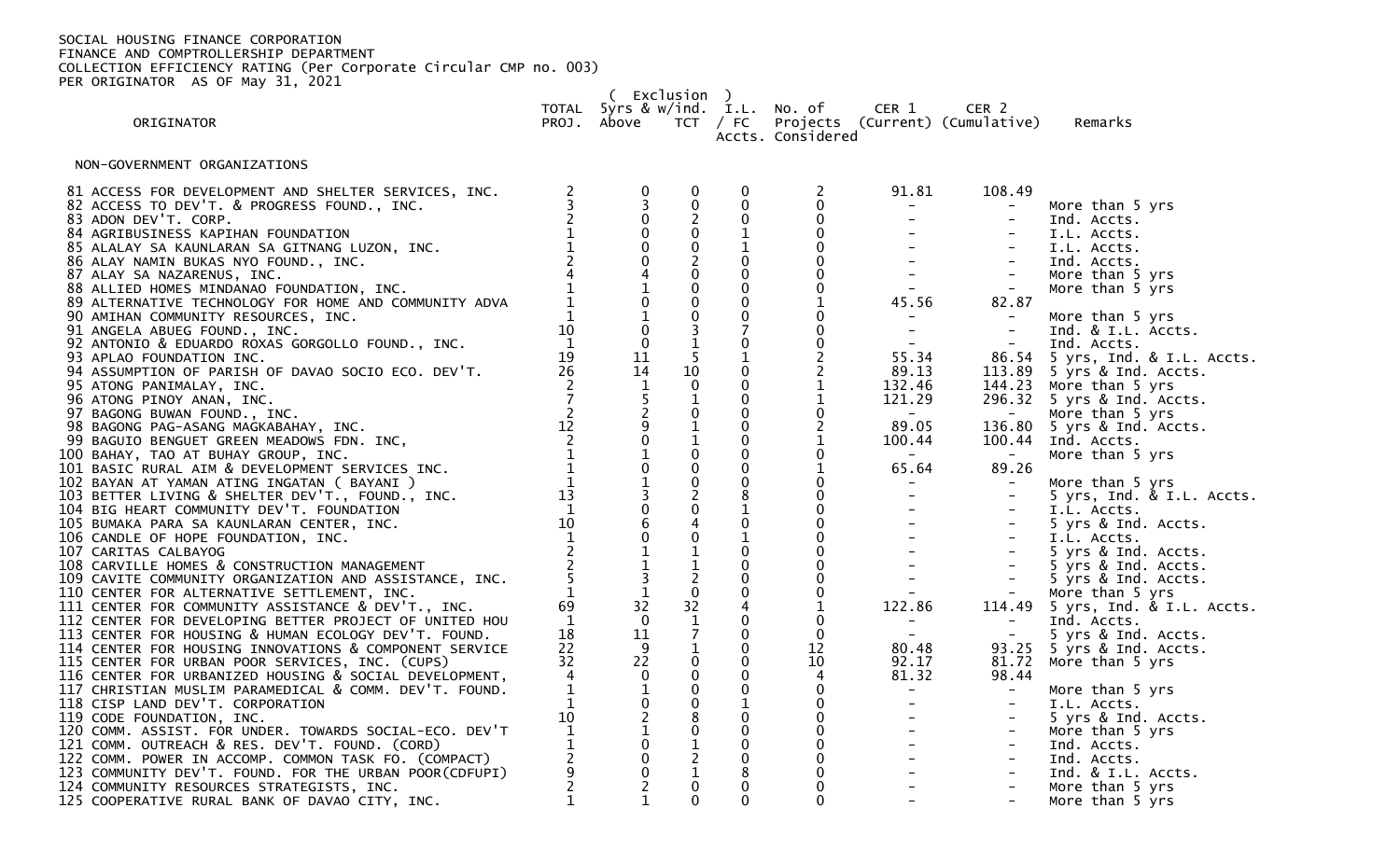( Exclusion ) TOTAL 5yrs & w/ind. I.L. No. of CER 1 CER 2

ORIGINATOR PROJ. Above TCT / FC Projects (Current) (Cumulative) Remarks

Accts. Considered

NON-GOVERNMENT ORGANIZATIONS

| 81 ACCESS FOR DEVELOPMENT AND SHELTER SERVICES, INC.                                                                                                                                                 |                | $\begin{matrix} 0 \\ 3 \\ 0 \end{matrix}$  | $\mathbf 0$                                  | $\pmb{0}$                      | $\overline{c}$      | 91.81                                                                                                                                                                                                                                                                                                                                                                                                                                                                                                           | 108.49                                                                                     |                                  |
|------------------------------------------------------------------------------------------------------------------------------------------------------------------------------------------------------|----------------|--------------------------------------------|----------------------------------------------|--------------------------------|---------------------|-----------------------------------------------------------------------------------------------------------------------------------------------------------------------------------------------------------------------------------------------------------------------------------------------------------------------------------------------------------------------------------------------------------------------------------------------------------------------------------------------------------------|--------------------------------------------------------------------------------------------|----------------------------------|
| 82 ACCESS TO DEV'T. & PROGRESS FOUND., INC.                                                                                                                                                          |                |                                            |                                              | $\mathbf 0$                    | $\pmb{0}$           | $\sigma_{\rm{max}}$                                                                                                                                                                                                                                                                                                                                                                                                                                                                                             | $\equiv$                                                                                   | More than 5 yrs                  |
| 83 ADON DEV'T. CORP.                                                                                                                                                                                 |                |                                            | $\begin{smallmatrix} 0\\2 \end{smallmatrix}$ | $\mathbf 0$                    | $\mathbf 0$         | $\frac{1}{2}$ and $\frac{1}{2}$                                                                                                                                                                                                                                                                                                                                                                                                                                                                                 | $\sim$                                                                                     | Ind. Accts.                      |
| 84 AGRIBUSINESS KAPIHAN FOUNDATION                                                                                                                                                                   |                | $\mathbf 0$                                |                                              | $\mathbf{1}$                   | $\mathbf 0$         |                                                                                                                                                                                                                                                                                                                                                                                                                                                                                                                 | $\sim$                                                                                     | I.L. Accts.                      |
|                                                                                                                                                                                                      |                |                                            |                                              |                                | $\overline{0}$      |                                                                                                                                                                                                                                                                                                                                                                                                                                                                                                                 | $\sim$                                                                                     | I.L. Accts.                      |
| 85 ALALAY SA KAMPINAN TOMONATION<br>85 ALALAY SA KAUNLARAN SA GITNANG LUZON, INC.<br>86 ALAY NAMIN BUKAS NYO FOUND., INC.<br>87 ALAY SA NAZARENUS, INC.<br>88 ALLIED HOMES MINDANAO FOUNDATION. INC. |                | $\overline{0}$                             |                                              | $\mathbf 0$                    | $\mathbf 0$         | $\frac{1}{2} \left( \frac{1}{2} \right)$ .                                                                                                                                                                                                                                                                                                                                                                                                                                                                      | $\equiv$                                                                                   | Ind. Accts.                      |
|                                                                                                                                                                                                      |                | $\overline{4}$                             |                                              | $\mathbf 0$                    | $\pmb{0}$           | $\frac{1}{2}$ and $\frac{1}{2}$                                                                                                                                                                                                                                                                                                                                                                                                                                                                                 | $\sim$                                                                                     | More than 5 yrs                  |
| 88 ALLIED HOMES MINDANAO FOUNDATION, INC.                                                                                                                                                            |                |                                            |                                              | $\mathbf 0$                    | $\mathbf 0$         | $\mathcal{L}^{(1)}$                                                                                                                                                                                                                                                                                                                                                                                                                                                                                             |                                                                                            | More than 5 yrs                  |
| 89 ALTERNATIVE TECHNOLOGY FOR HOME AND COMMUNITY ADVA                                                                                                                                                |                |                                            |                                              | $\mathbf{0}$                   |                     | 45.56                                                                                                                                                                                                                                                                                                                                                                                                                                                                                                           | 82.87                                                                                      |                                  |
| 90 AMIHAN COMMUNITY RESOURCES, INC.                                                                                                                                                                  |                |                                            |                                              | $\mathbf 0$                    |                     | $\sim$                                                                                                                                                                                                                                                                                                                                                                                                                                                                                                          |                                                                                            | More than 5 yrs                  |
| 91 ANGELA ABUEG FOUND., INC.                                                                                                                                                                         | 10             |                                            |                                              | $\overline{7}$                 | $\mathbf 0$         | $\sim 100$                                                                                                                                                                                                                                                                                                                                                                                                                                                                                                      | $\sim$ $-$                                                                                 | Ind. & I.L. Accts.               |
| 92 ANTONIO & EDUARDO ROXAS GORGOLLO FOUND., INC.                                                                                                                                                     | $\overline{1}$ | $\mathbf 0$                                | $\frac{3}{1}$                                | $\mathbf{0}$                   | $\mathbf 0$         | $\sim 100$ km s $^{-1}$                                                                                                                                                                                                                                                                                                                                                                                                                                                                                         | $\sim$ $-$                                                                                 | Ind. Accts.                      |
| 93 APLAO FOUNDATION INC.                                                                                                                                                                             | 19             | 11                                         |                                              | $\mathbf{1}$                   |                     | 55.34                                                                                                                                                                                                                                                                                                                                                                                                                                                                                                           |                                                                                            | 86.54 5 yrs, Ind. & I.L. Accts.  |
| 94 ASSUMPTION OF PARISH OF DAVAO SOCIO ECO. DEV'T.                                                                                                                                                   | 26             | 14                                         | 10                                           | $\mathbf 0$                    | $\overline{c}$      | 89.13                                                                                                                                                                                                                                                                                                                                                                                                                                                                                                           |                                                                                            | 113.89 5 yrs & Ind. Accts.       |
| 95 ATONG PANIMALAY, INC.                                                                                                                                                                             |                | 1                                          | $\mathbf 0$                                  | $\mathbf{0}$                   | $\mathbf{1}$        | 132.46                                                                                                                                                                                                                                                                                                                                                                                                                                                                                                          | 144.23                                                                                     | More than 5 yrs                  |
| 96 ATONG PINOY ANAN, INC.                                                                                                                                                                            |                |                                            |                                              | $\mathbf 0$                    |                     | 121.29                                                                                                                                                                                                                                                                                                                                                                                                                                                                                                          |                                                                                            | 296.32 5 yrs & Ind. Accts.       |
| 97 BAGONG BUWAN FOUND., INC.                                                                                                                                                                         |                |                                            |                                              | 0                              | $\pmb{0}$           | $\sim$ $  -$                                                                                                                                                                                                                                                                                                                                                                                                                                                                                                    | $\sim$ $ \sim$                                                                             | More than 5 yrs                  |
| 98 BAGONG PAG-ASANG MAGKABAHAY, INC.                                                                                                                                                                 |                |                                            | $\mathbf{1}$                                 | $\mathbf 0$                    | $\overline{2}$      | 89.05                                                                                                                                                                                                                                                                                                                                                                                                                                                                                                           |                                                                                            | 136.80 5 yrs & Ind. Accts.       |
| 99 BAGUIO BENGUET GREEN MEADOWS FDN. INC,                                                                                                                                                            |                |                                            |                                              | $\mathbf 0$                    |                     | 100.44                                                                                                                                                                                                                                                                                                                                                                                                                                                                                                          |                                                                                            | 100.44 Ind. Accts.               |
|                                                                                                                                                                                                      |                |                                            |                                              | $\mathbf{0}$                   | $\mathbf 0$         | $\mathcal{L}_{\text{max}}$ and $\mathcal{L}_{\text{max}}$                                                                                                                                                                                                                                                                                                                                                                                                                                                       | <b>Contract Contract</b>                                                                   |                                  |
| 100 BAHAY, TAO AT BUHAY GROUP, INC.                                                                                                                                                                  |                | $\mathbf{0}$                               | $\mathbf 0$                                  | $\mathbf{0}$                   | $\mathbf{1}$        | 65.64                                                                                                                                                                                                                                                                                                                                                                                                                                                                                                           | 89.26                                                                                      | More than 5 yrs                  |
| 101 BASIC RURAL AIM & DEVELOPMENT SERVICES INC.                                                                                                                                                      |                |                                            |                                              | $\mathbf 0$                    |                     |                                                                                                                                                                                                                                                                                                                                                                                                                                                                                                                 |                                                                                            |                                  |
| 102 BAYAN AT YAMAN ATING INGATAN ( BAYANI )                                                                                                                                                          | 13             |                                            |                                              |                                | $_{\rm 0}^{\rm 0}$  | $\sim$ 10 $\pm$<br>$\Delta \sim 10^{-11}$                                                                                                                                                                                                                                                                                                                                                                                                                                                                       | $\alpha \rightarrow \alpha$<br>$\mathcal{L}^{\mathcal{L}}$ and $\mathcal{L}^{\mathcal{L}}$ | More than 5 yrs                  |
| 103 BETTER LIVING & SHELTER DEV'T., FOUND., INC.                                                                                                                                                     | $\overline{1}$ | $\begin{array}{c} 1 \\ 3 \\ 0 \end{array}$ |                                              | $\mathbf{1}$                   | $\mathbf 0$         |                                                                                                                                                                                                                                                                                                                                                                                                                                                                                                                 |                                                                                            | 5 yrs, Ind. & I.L. Accts.        |
| 104 BIG HEART COMMUNITY DEV'T. FOUNDATION                                                                                                                                                            | 10             |                                            |                                              | $\mathbf 0$                    | $\pmb{0}$           |                                                                                                                                                                                                                                                                                                                                                                                                                                                                                                                 | $\equiv$                                                                                   | I.L. Accts.                      |
| 105 BUMAKA PARA SA KAUNLARAN CENTER, INC.                                                                                                                                                            |                | $\overline{6}$<br>0                        |                                              |                                | $\ddot{\mathbf{0}}$ |                                                                                                                                                                                                                                                                                                                                                                                                                                                                                                                 | $\equiv$                                                                                   | 5 yrs & Ind. Accts.              |
| 106 CANDLE OF HOPE FOUNDATION, INC.                                                                                                                                                                  |                | $\overline{1}$                             |                                              | $\mathbf{1}$<br>$\mathbf 0$    |                     |                                                                                                                                                                                                                                                                                                                                                                                                                                                                                                                 |                                                                                            | I.L. Accts.                      |
| 107 CARITAS CALBAYOG                                                                                                                                                                                 |                |                                            |                                              |                                | $\mathbf 0$         |                                                                                                                                                                                                                                                                                                                                                                                                                                                                                                                 | $\frac{1}{2}$                                                                              | 5 yrs & Ind. Accts.              |
| 108 CARVILLE HOMES & CONSTRUCTION MANAGEMENT                                                                                                                                                         |                | $\frac{1}{3}$                              |                                              |                                | $\overline{0}$      |                                                                                                                                                                                                                                                                                                                                                                                                                                                                                                                 | $\sim$                                                                                     | 5 yrs & Ind. Accts.              |
| 109 CAVITE COMMUNITY ORGANIZATION AND ASSISTANCE, INC.                                                                                                                                               |                | $\overline{1}$                             | $\begin{bmatrix} 1 \\ 2 \\ 0 \end{bmatrix}$  | $\mathbf{0}$<br>$\overline{0}$ |                     |                                                                                                                                                                                                                                                                                                                                                                                                                                                                                                                 | $\alpha_{\rm{max}}=0.01$                                                                   | 5 yrs & Ind. Accts.              |
| 110 CENTER FOR ALTERNATIVE SETTLEMENT, INC.                                                                                                                                                          |                |                                            |                                              |                                | $\pmb{0}$           |                                                                                                                                                                                                                                                                                                                                                                                                                                                                                                                 | $\sim$                                                                                     | More than 5 yrs                  |
| 111 CENTER FOR COMMUNITY ASSISTANCE & DEV'T., INC.                                                                                                                                                   | 69             | 32                                         | 32                                           |                                |                     | 122.86                                                                                                                                                                                                                                                                                                                                                                                                                                                                                                          |                                                                                            | 114.49 5 yrs, Ind. & I.L. Accts. |
| 112 CENTER FOR DEVELOPING BETTER PROJECT OF UNITED HOU                                                                                                                                               | 1              | $\Omega$                                   | $\mathbf{1}$                                 | $\mathbf 0$                    | 0                   | $\sim$ 100 $\sim$ 100 $\sim$                                                                                                                                                                                                                                                                                                                                                                                                                                                                                    | $\sim$ $ \sim$                                                                             | Ind. Accts.                      |
| 113 CENTER FOR HOUSING & HUMAN ECOLOGY DEV'T. FOUND.                                                                                                                                                 | 18             | 11                                         |                                              | $\mathbf 0$                    | $\pmb{0}$           | $\frac{1}{\sqrt{2}}$                                                                                                                                                                                                                                                                                                                                                                                                                                                                                            | $\sim$ $ \sim$                                                                             | 5 yrs & Ind. Accts.              |
| 114 CENTER FOR HOUSING INNOVATIONS & COMPONENT SERVICE                                                                                                                                               | 22             | 9                                          |                                              | $\mathbf 0$                    | 12                  | 80.48                                                                                                                                                                                                                                                                                                                                                                                                                                                                                                           |                                                                                            | 93.25 5 yrs & Ind. Accts.        |
| 115 CENTER FOR URBAN POOR SERVICES, INC. (CUPS)                                                                                                                                                      | 32             | 22                                         | $\mathbf 0$                                  | $\Omega$                       | 10                  | 92.17                                                                                                                                                                                                                                                                                                                                                                                                                                                                                                           | 81.72                                                                                      | More than 5 yrs                  |
| 116 CENTER FOR URBANIZED HOUSING & SOCIAL DEVELOPMENT,                                                                                                                                               |                | $\mathbf 0$                                | $\overline{0}$                               | $\mathbf{0}$                   | 4                   | 81.32                                                                                                                                                                                                                                                                                                                                                                                                                                                                                                           | 98.44                                                                                      |                                  |
| 117 CHRISTIAN MUSLIM PARAMEDICAL & COMM. DEV'T. FOUND.                                                                                                                                               |                | $\frac{1}{0}$                              |                                              | $\mathbf 0$                    | $\mathbf 0$         | $\sim$                                                                                                                                                                                                                                                                                                                                                                                                                                                                                                          | $\sim$                                                                                     | More than 5 yrs                  |
| 118 CISP LAND DEV'T. CORPORATION                                                                                                                                                                     |                |                                            |                                              |                                | $\mathbf 0$         | $\frac{1}{2}$ and $\frac{1}{2}$                                                                                                                                                                                                                                                                                                                                                                                                                                                                                 | $\sim$                                                                                     | I.L. Accts.                      |
| 119 CODE FOUNDATION, INC.                                                                                                                                                                            | 10             |                                            |                                              | $\mathbf{0}$                   | $\mathbf 0$         |                                                                                                                                                                                                                                                                                                                                                                                                                                                                                                                 | $\sim$                                                                                     | 5 yrs & Ind. Accts.              |
| 120 COMM. ASSIST. FOR UNDER. TOWARDS SOCIAL-ECO. DEV'T                                                                                                                                               |                | $\frac{2}{1}$                              |                                              | $\mathbf{0}$                   | $\pmb{0}$           |                                                                                                                                                                                                                                                                                                                                                                                                                                                                                                                 | $\equiv$                                                                                   | More than 5 yrs                  |
| 121 COMM. OUTREACH & RES. DEV'T. FOUND. (CORD)                                                                                                                                                       |                |                                            |                                              | $\mathbf{0}$                   | $\mathbf 0$         |                                                                                                                                                                                                                                                                                                                                                                                                                                                                                                                 | $\sim$                                                                                     | Ind. Accts.                      |
| 122 COMM. POWER IN ACCOMP. COMMON TASK FO. (COMPACT)                                                                                                                                                 |                | $\overline{0}$<br>0                        | $0$<br>$1$<br>$2$<br>$1$<br>$0$              | $\mathbf{0}$                   | $\mathbf 0$         | $\begin{aligned} \mathbf{1} & = \mathbf{1} \times \mathbf{1} \times \mathbf{1} \times \mathbf{1} \times \mathbf{1} \times \mathbf{1} \times \mathbf{1} \times \mathbf{1} \times \mathbf{1} \times \mathbf{1} \times \mathbf{1} \times \mathbf{1} \times \mathbf{1} \times \mathbf{1} \times \mathbf{1} \times \mathbf{1} \times \mathbf{1} \times \mathbf{1} \times \mathbf{1} \times \mathbf{1} \times \mathbf{1} \times \mathbf{1} \times \mathbf{1} \times \mathbf{1} \times \mathbf{1} \times \mathbf{1} \$ |                                                                                            | Ind. Accts.                      |
| 123 COMMUNITY DEV'T. FOUND. FOR THE URBAN POOR (CDFUPI)                                                                                                                                              |                |                                            |                                              |                                | $\pmb{0}$           |                                                                                                                                                                                                                                                                                                                                                                                                                                                                                                                 | $\equiv$                                                                                   | Ind. & I.L. Accts.               |
| 124 COMMUNITY RESOURCES STRATEGISTS, INC.                                                                                                                                                            |                |                                            |                                              | $\Omega$                       | $\mathbf 0$         |                                                                                                                                                                                                                                                                                                                                                                                                                                                                                                                 | $\equiv$                                                                                   | More than 5 yrs                  |
| 125 COOPERATIVE RURAL BANK OF DAVAO CITY, INC.                                                                                                                                                       | $\mathbf{1}$   |                                            | $\Omega$                                     | $\Omega$                       | $\mathbf 0$         |                                                                                                                                                                                                                                                                                                                                                                                                                                                                                                                 | $\equiv$                                                                                   | More than 5 yrs                  |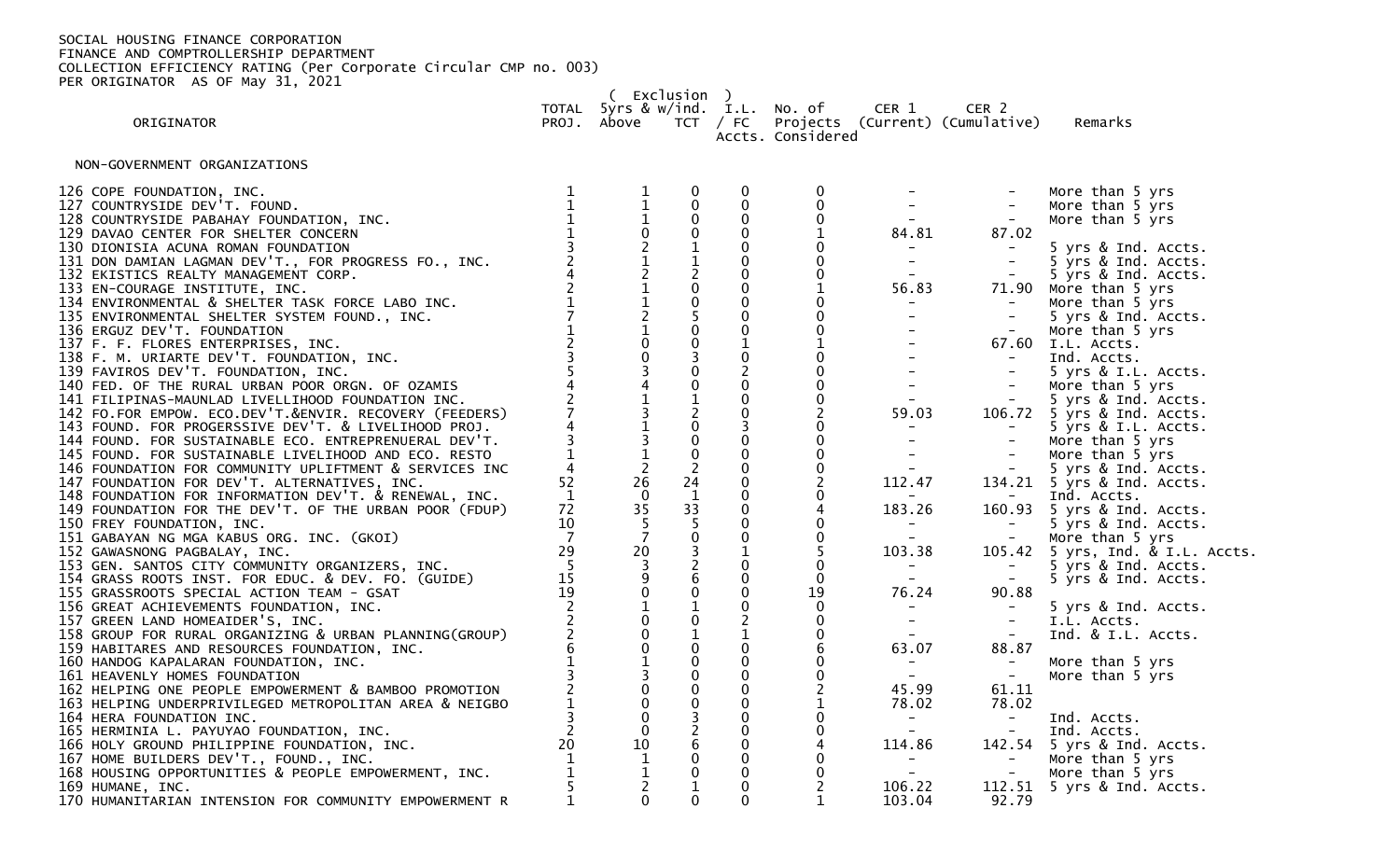170 HUMANITARIAN INTENSION FOR COMMUNITY EMPOWERMENT R

 ( Exclusion ) TOTAL 5yrs & w/ind. I.L. No. of CER 1 CER 2 TCT / FC Projects (Current) (Cumulative) Remarks Accts. Considered NON-GOVERNMENT ORGANIZATIONS 126 COPE FOUNDATION, INC.<br>1 1 0 0 0 - - More than 5 yrs<br>1 1 0 0 0 - - - More than 5 yrs 127 COUNTRYSIDE DEV'T. FOUND. 1 1 0 0 0 - - More than 5 yrs 128 COUNTRYSIDE PABAHAY FOUNDATION, INC.  $\begin{array}{cccccccc} 1 & 1 & 0 & 0 & 0 & - \\ 129 & DAVAO & CENTER & FOR SHELTER CONCERN & 1 & 0 & 0 & 1 & 84.81 & 87.02 \\ 130 & DIONISIA ACUNA ROMAN FOUNDATION & 3 & 2 & 1 & 0 & 0 & - \\ 131 & DON DAMIAN LAGMAN DEV'T., FOR PROGRESS FO., INC. & 2 & 1 & 1 & 0 & 0 & - \\ 132 & EKISTICS REALTY MANAGEMENT CORP. & 4 & 2 & 2 &$ 129 DAVAO CENTER FOR SHELTER CONCERN 1 0 0 0 1<br>130 DIONISIA ACUNA ROMAN FOUNDATION 3 2 1 0 0<br>131 DON DAMIAN LAGMAN DEV'T., FOR PROGRESS FO., INC. 2 1 1 0 0 130 DIONISIA ACUNA ROMAN FOUNDATION 3 2 1 0 0 - - 5 yrs & Ind. Accts. 131 DON DAMIAN LAGMAN DEV'T., FOR PROGRESS FO., INC. 2 1 1 0 0 - - 5 yrs & Ind. Accts. 132 EKISTICS REALTY MANAGEMENT CORP. 4 2 2 0 0 - - 5 yrs & Ind. Accts. 133 EN-COURAGE INSTITUTE, INC. 2 1 0 0 1 56.83 71.90 More than 5 yrs 134 ENVIRONMENTAL & SHELTER TASK FORCE LABO INC. 1 1 0 0 0 - - More than 5 yrs 135 ENVIRONMENTAL SHELTER SYSTEM FOUND., INC. 7 2 5 0 0 - - 5 yrs & Ind. Accts. 136 ERGUZ DEV'T. FOUNDATION 1 1 0 0 0 - - More than 5 yrs 137 F. F. FLORES ENTERPRISES, INC. 2 0 0 1 1 - 67.60 I.L. Accts. 138 F. M. URIARTE DEV'T. FOUNDATION, INC. 3 0 3 0 0 - - Ind. Accts. 139 FAVIROS DEV'T. FOUNDATION, INC. 5 3 0 2 0 - - 5 yrs & I.L. Accts. 140 FED. OF THE RURAL URBAN POOR ORGN. OF OZAMIS 4 4 0 0 0 - - More than 5 yrs 141 FILIPINAS-MAUNLAD LIVELLIHOOD FOUNDATION INC. 2 1 1 0 0 - - 5 yrs & Ind. Accts. 142 FO.FOR EMPOW. ECO.DEV'T.&ENVIR. RECOVERY (FEEDERS) 7 3 2 0 2 59.03 106.72 5 yrs & Ind. Accts. 143 FOUND. FOR PROGERSSIVE DEV'T. & LIVELIHOOD PROJ. 4 1 0 3 0 - - 5 yrs & I.L. Accts. 144 FOUND. FOR SUSTAINABLE ECO. ENTREPRENUERAL DEV'T. 3 3 0 0 0 - - More than 5 yrs 145 FOUND. FOR SUSTAINABLE LIVELIHOOD AND ECO. RESTO 1 1 0 0 0 0 - - - More than 5 yrs<br>146 FOUNDATION FOR COMMUNITY UPLIFTMENT & SERVICES INC 4 2 2 0 0 - - - 5 yrs & Ind. Accts.<br>147 FOUNDATION FOR DEV'T. ALTERNATIVES, INC. 146 FOUNDATION FOR COMMUNITY UPLIFTMENT & SERVICES INC 4 2 2 0 0 - - 5 yrs & Ind. Accts. 147 FOUNDATION FOR DEV'T. ALTERNATIVES, INC. 52 26 24 0 2 112.47 134.21 5 yrs & Ind. Accts. 148 FOUNDATION FOR INFORMATION DEV'T. & RENEWAL, INC.  $\begin{array}{cccccccccc} & 1 & 0 & 1 & 0 & 0 & - & - & - & \text{Ind. Accts.} \end{array}$ 149 FOUNDATION FOR THE DEV'T. OF THE URBAN POOR (FDUP) 72 35 33 0 4 183.26 160.93 5 yrs & Ind. Accts. 150 FREY FOUNDATION, INC. 10 5 5 0 0 - - 5 yrs & Ind. Accts. 151 GABAYAN NG MGA KABUS ORG. INC. (GKOI) 7 7 0 0 -<br>152 GAWASNONG PAGBALAY, INC. 29 20 3 1 5 103.38 152 Elementary 103.38 in the Sandard Page 20 3 1 5 103.38 in 105.42 5 yrs, Ind. & I.L. Accts.<br>15 3 2 0 0 - - 5 yrs & Ind. Accts.<br>15 9 6 0 0 - - 5 yrs & Ind. Accts. 153 GEN. SANTOS CITY COMMUNITY ORGANIZERS, INC. 5 3 2 0 0 - - 5 yrs & Ind. Accts. 154 GRASS ROOTS INST. FOR EDUC. & DEV. FO. (GUIDE)  $\begin{array}{cccccccc} 15 & 9 & 6 & 0 & 0 & - & - & - \ 155 & \text{GRASSROOTS SPECIAL ACTION TEAM} - \text{GSAT} & & & & & 19 & 0 & 0 & 19 & 76.24 & 90.88 \end{array}$ 155 GRASSROOTS SPECIAL ACTION TEAM - GSAT 19 0 0 0 19 76.24 90.88 156 GREAT ACHIEVEMENTS FOUNDATION, INC. 2 1 1 0 0 - - 5 yrs & Ind. Accts. 157 GREEN LAND HOMEAIDER'S, INC. 2 0 0 2 0 - - I.L. Accts. 158 GROUP FOR RURAL ORGANIZING & URBAN PLANNING(GROUP)  $\begin{array}{cccc} 2 & 0 & 1 & 1 & 0 & - \\ 159 & \text{HABITARES AND RESOURCES FOUNDATION, INC.} & 6 & 0 & 0 & 6 & 63.07 \end{array}$ 159 HABITARES AND RESOURCES FOUNDATION, INC. 6 0 0 0 6 63.07 88.87 160 HANDOG KAPALARAN FOUNDATION, INC. 1 1 0 0 0 - - More than 5 yrs 161 HEAVENLY HOMES FOUNDATION 3 3 0 0 0 - - More than 5 yrs

162 HELPING ONE PEOPLE EMPOWERMENT & BAMBOO PROMOTION 2 0 0 0 2 45.99 61.11 163 HELPING UNDERPRIVILEGED METROPOLITAN AREA & NEIGBO  $\begin{array}{ccc} 1 & 0 & 0 & 0 \ 1 & 1 & 0 & 3 \end{array}$ 164 HERA FOUNDATION INC. 3 0 3 0 0 - - Ind. Accts. 165 HERMINIA L. PAYUYAO FOUNDATION, INC. 2 0 2 0 0 - - Ind. Accts. 166 HOLY GROUND PHILIPPINE FOUNDATION, INC. 20 10 6 0 4 114.86 142.54 5 yrs & Ind. Accts. 167 HOME BUILDERS DEV'T., FOUND., INC. 1 1 0 0 0 - - More than 5 yrs 168 HOUSING OPPORTUNITIES & PEOPLE EMPOWERMENT, INC.  $\begin{array}{cccccccc} 1 & 1 & 0 & 0 & 0 & -1 \\ 169 & 100 & 0 & 2 & 106.22 & 1 \end{array}$  $\begin{array}{ccccccccc}\n5 & 2 & 1 & 0 & 2 & 106.22 & 112.51 & 5 \text{ yrs & and. } \text{ACcts.} \\
1 & 0 & 0 & 0 & 1 & 103.04 & 92.79\n\end{array}$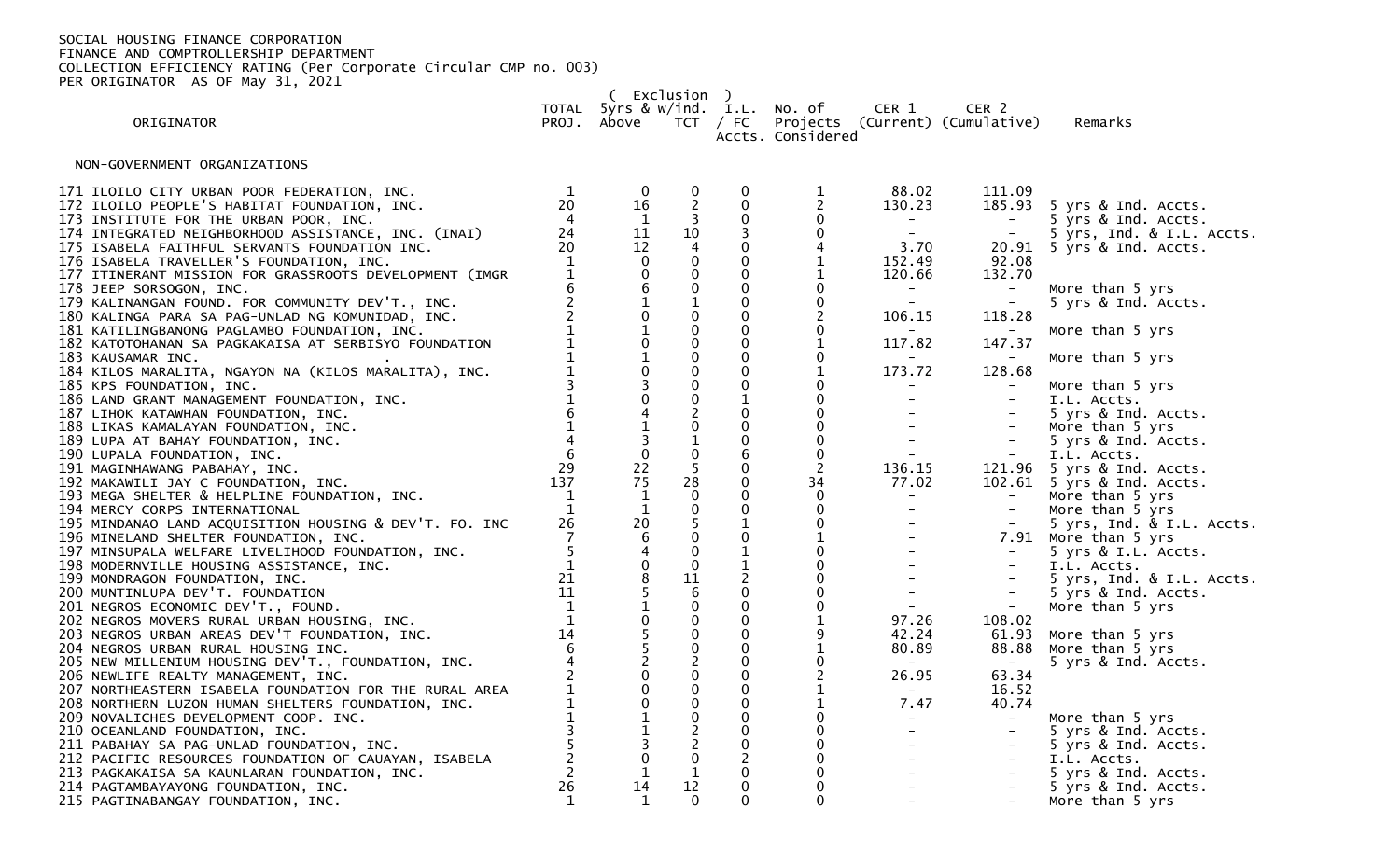| (Exclusion) |                                                                                                                                                                                                                                                                                                                                                                                    |                                                         |                                                      |                                                                                     |                                                                                             |                                                                     |                                                                                |                                                                                                                 |                                                                                                      |
|-------------|------------------------------------------------------------------------------------------------------------------------------------------------------------------------------------------------------------------------------------------------------------------------------------------------------------------------------------------------------------------------------------|---------------------------------------------------------|------------------------------------------------------|-------------------------------------------------------------------------------------|---------------------------------------------------------------------------------------------|---------------------------------------------------------------------|--------------------------------------------------------------------------------|-----------------------------------------------------------------------------------------------------------------|------------------------------------------------------------------------------------------------------|
|             | ORIGINATOR                                                                                                                                                                                                                                                                                                                                                                         |                                                         | PROJ. Above                                          |                                                                                     |                                                                                             | TOTAL 5yrs & w/ind. I.L. No. of<br>Accts. Considered                | CER 1                                                                          | CER <sub>2</sub><br>TCT / FC Projects (Current) (Cumulative)                                                    | Remarks                                                                                              |
|             | NON-GOVERNMENT ORGANIZATIONS                                                                                                                                                                                                                                                                                                                                                       |                                                         |                                                      |                                                                                     |                                                                                             |                                                                     |                                                                                |                                                                                                                 |                                                                                                      |
|             | 171 ILOILO CITY URBAN POOR FEDERATION, INC.<br>172 ILOILO PEOPLE'S HABITAT FOUNDATION, INC.<br>173 INSTITUTE FOR THE URBAN POOR, INC.<br>174 INTEGRATED NEIGHBORHOOD ASSISTANCE, INC. (INAI)<br>175 ISABELA FAITHFUL SERVANTS FOUNDATION INC.<br>176 ISABELA TRAVELLER'S FOUNDATION, INC.                                                                                          | 1<br>20<br>4<br>24<br>20<br>$\mathbf 1$<br>$\mathbf{1}$ | $\bf{0}$<br>16<br>1<br>11<br>12                      | $\bf{0}$<br>$\overline{2}$<br>$\overline{3}$<br>10<br>$\overline{4}$<br>$\mathbf 0$ | $\bf{0}$<br>$\overline{0}$<br>$\mathbf 0$<br>3<br>$\mathbf 0$<br>$\mathbf 0$<br>$\mathbf 0$ | 1<br>$\overline{2}$<br>$\mathbf 0$<br>$\pmb{0}$<br>4<br>$\mathbf 1$ | 88.02<br>130.23<br>$\frac{1}{\sqrt{2}}$<br>3.70<br>152.49<br>120.66            | 111.09<br>185.93<br>$\alpha_{\rm{max}}=0.5$<br>$\sim$<br>92.08                                                  | 5 yrs & Ind. Accts.<br>5 yrs & Ind. Accts.<br>5 yrs, Ind. & I.L. Accts.<br>20.91 5 yrs & Ind. Accts. |
|             | 177 ITINERANT MISSION FOR GRASSROOTS DEVELOPMENT (IMGR<br>178 JEEP SORSOGON, INC.<br>179 KALINANGAN FOUND. FOR COMMUNITY DEV'T., INC.<br>180 KALINGA PARA SA PAG-UNLAD NG KOMUNIDAD, INC.                                                                                                                                                                                          |                                                         |                                                      | $\mathbf 0$<br>$\frac{1}{0}$                                                        | $\mathbf 0$<br>$\mathbf 0$<br>$\mathbf 0$                                                   | 1<br>$\pmb{0}$<br>$\pmb{0}$                                         | $\mathbb{Z}^{\mathbb{Z}^{\times}}$<br>106.15                                   | 132.70<br>$\left\vert -\right\vert$<br>$\alpha \rightarrow \alpha$<br>118.28                                    | More than 5 yrs<br>5 yrs & Ind. Accts.                                                               |
|             | 181 KATILINGBANONG PAGLAMBO FOUNDATION, INC.<br>182 KATOTOHANAN SA PAGKAKAISA AT SERBISYO FOUNDATION                                                                                                                                                                                                                                                                               |                                                         | $\frac{1}{0}$                                        | $\mathbf 0$                                                                         | $\mathbf 0$<br>$\mathbf 0$                                                                  | $\boldsymbol{0}$<br>$\mathbf{1}$                                    | 117.82                                                                         | 147.37                                                                                                          | More than 5 yrs                                                                                      |
|             | 183 KAUSAMAR INC.<br>184 KILOS MARALITA, NGAYON NA (KILOS MARALITA), INC.<br>185 KPS FOUNDATION, INC.                                                                                                                                                                                                                                                                              |                                                         | $\frac{1}{0}$                                        | $\mathbf 0$<br>$\mathbf 0$                                                          | $\mathbf 0$<br>$\mathbf{0}$<br>$\mathbf 0$                                                  | $\pmb{0}$<br>$\mathbf{1}$<br>$\pmb{0}$                              | $\sim$ $\sim$<br>173.72<br>$\sim$                                              | $\sim$ $ \sim$<br>128.68<br>$\sim$ $-$                                                                          | More than 5 yrs<br>More than 5 yrs                                                                   |
|             | 186 LAND GRANT MANAGEMENT FOUNDATION, INC.<br>187 LIHOK KATAWHAN FOUNDATION, INC.                                                                                                                                                                                                                                                                                                  |                                                         | $\begin{array}{c} 3 \\ 0 \\ 4 \\ 1 \\ 3 \end{array}$ | $\mathbf 0$<br>$^2_{\rm 0}$                                                         | $\mathbf{1}$<br>$\mathbf 0$                                                                 | $\mathbf 0$<br>$\mathbf 0$                                          | $\sim$<br>$\frac{1}{2}$ and $\frac{1}{2}$                                      | $\equiv$<br>$\equiv$                                                                                            | I.L. Accts.<br>5 yrs & Ind. Accts.                                                                   |
|             | 188 LIKAS KAMALAYAN FOUNDATION, INC.<br>189 LUPA AT BAHAY FOUNDATION, INC.<br>190 LUPALA FOUNDATION, INC.                                                                                                                                                                                                                                                                          |                                                         | $\overline{0}$                                       | $\frac{1}{0}$                                                                       | $\mathbf 0$<br>$\mathbf 0$<br>$\,$ 6 $\,$                                                   | $\pmb{0}$<br>$\pmb{0}$<br>$\pmb{0}$                                 | ing<br>Tan                                                                     | $\frac{1}{2}$ .                                                                                                 | More than 5 yrs<br>5 yrs & Ind. Accts.<br>I.L. Accts.                                                |
|             | $N = 0.1$<br>$\frac{1}{6}$<br>$\frac{1}{4}$<br>$\frac{4}{6}$<br>$\frac{1}{6}$<br>$\frac{1}{6}$<br>$\frac{1}{6}$<br>$\frac{1}{6}$<br>$\frac{1}{6}$<br>$\frac{1}{6}$<br>$\frac{1}{6}$<br>$\frac{1}{6}$<br>$\frac{1}{6}$<br>$\frac{1}{6}$<br>$\frac{1}{6}$<br>$\frac{1}{6}$<br>$\frac{1}{6}$<br>$\frac{1}{6}$<br>191 MAGINHAWANG PABAHAY, INC.<br>192 MAKAWILI JAY C FOUNDATION, INC. |                                                         | 22<br>75                                             | 28                                                                                  | $\mathbf 0$<br>$\mathbf 0$                                                                  | $\overline{2}$<br>34                                                | 136.15<br>77.02                                                                |                                                                                                                 | 121.96 5 yrs & Ind. Accts.<br>102.61 5 yrs & Ind. Accts.                                             |
|             | 193 MEGA SHELTER & HELPLINE FOUNDATION, INC.<br>194 MERCY CORPS INTERNATIONAL<br>195 MINDANAO LAND ACQUISITION HOUSING & DEV'T. FO. INC                                                                                                                                                                                                                                            | 26                                                      | 1<br>$\mathbf{1}$<br>20                              | $\mathbf 0$<br>$\pmb{0}$<br>$\overline{\mathbf{5}}$                                 | $\mathbf 0$<br>$\mathbf 0$<br>$\mathbf{1}$                                                  | $\mathbf 0$<br>$\mathbf 0$<br>$\mathbf 0$                           | $\frac{\pi}{2}$ .                                                              | $\alpha_{\rm{max}}=0.01$<br>$\sim$<br>$\sim$                                                                    | More than 5 yrs<br>More than 5 yrs<br>5 yrs, Ind. & I.L. Accts.                                      |
|             | 196 MINELAND SHELTER FOUNDATION, INC.<br>197 MINSUPALA WELFARE LIVELIHOOD FOUNDATION, INC.                                                                                                                                                                                                                                                                                         |                                                         | $6\,$<br>$\frac{4}{0}$                               | $\mathbf 0$                                                                         | $\mathbf 0$<br>$\mathbf{1}$                                                                 | $\mathbf{1}$<br>$\mathbf 0$                                         | $\frac{1}{\pi}$ .<br>$\frac{1}{2}$ and $\frac{1}{2}$<br>$\Delta \sim 10^{-11}$ | $\mathbb{I}$                                                                                                    | 7.91 More than 5 yrs<br>5 yrs & I.L. Accts.                                                          |
|             | 197 MINSUPALA WELFARE LIVELIHOOD FOONDATION, INC.<br>198 MODERNVILLE HOUSING ASSISTANCE, INC. 199 MONDRAGON FOUNDATION, INC. 21<br>200 MUNTINLUPA DEV'T. FOUNDATION 11<br>201 NEGROS ECONOMIC DEV'T., FOUND. 1<br>202 NEGROS MOVERS RURAL                                                                                                                                          |                                                         |                                                      | $\mathbf 0$<br>11<br>6                                                              | $\mathbf{1}$<br>$\overline{2}$<br>$\mathbf 0$                                               | $\mathbf 0$<br>$\mathbf 0$<br>$\mathbf 0$                           | $\frac{1}{2}$ and $\frac{1}{2}$                                                | $\mathbb{Z}^+$                                                                                                  | I.L. Accts.<br>5 yrs, Ind. & I.L. Accts.<br>5 yrs & Ind. Accts.                                      |
|             |                                                                                                                                                                                                                                                                                                                                                                                    |                                                         |                                                      | $\begin{smallmatrix} 0\\0 \end{smallmatrix}$                                        | $\mathbf 0$<br>$\mathbf 0$                                                                  | $\pmb{0}$<br>$\mathbf{1}$                                           | $\frac{1}{2}$ .<br>97.26                                                       | $\sim$<br>108.02                                                                                                | More than 5 yrs                                                                                      |
|             | 204 NEGROS URBAN RURAL HOUSING INC.<br>205 NEW MILLENIUM HOUSING DEV'T., FOUNDATION, INC.                                                                                                                                                                                                                                                                                          |                                                         |                                                      | $\mathbf 0$<br>$\mathbf 0$<br>$\overline{2}$                                        | $\mathbf 0$<br>$\overline{0}$<br>$\mathbf 0$                                                | 9<br>$\overline{1}$<br>$\pmb{0}$                                    | 42.24<br>80.89                                                                 | 61.93<br>88.88<br>$\sim$ $ \sim$                                                                                | More than 5 yrs<br>More than 5 yrs<br>5 yrs & Ind. Accts.                                            |
|             | 206 NEWLIFE REALTY MANAGEMENT, INC.<br>207 NORTHEASTERN ISABELA FOUNDATION FOR THE RURAL AREA<br>208 NORTHERN LUZON HUMAN SHELTERS FOUNDATION, INC.                                                                                                                                                                                                                                |                                                         | 851055200011301                                      | $\begin{smallmatrix} 0\\0 \end{smallmatrix}$                                        | $\mathbf 0$<br>$\mathbf 0$<br>$\mathbf 0$                                                   | $\begin{smallmatrix}2\1\end{smallmatrix}$<br>$\mathbf 1$            | 26.95<br>$\sim$<br>7.47                                                        | 63.34<br>16.52<br>40.74                                                                                         |                                                                                                      |
|             | 209 NOVALICHES DEVELOPMENT COOP. INC.<br>210 OCEANLAND FOUNDATION, INC.                                                                                                                                                                                                                                                                                                            |                                                         |                                                      | $0$<br>$2$<br>$0$<br>$1$                                                            | $\mathbf 0$<br>$\mathbf 0$<br>$\mathbf 0$                                                   | $\pmb{0}$<br>$_{\rm 0}^{\rm 0}$                                     | $\frac{1}{2}$ ) .                                                              | $\gamma=0$<br>$\mathcal{L}^{\text{max}}_{\text{max}}$<br>$\mathcal{L}^{\mathcal{L}}(\mathcal{L}^{\mathcal{L}})$ | More than 5 yrs<br>5 yrs & Ind. Accts.                                                               |
|             | 211 PABAHAY SA PAG-UNLAD FOUNDATION, INC.<br>212 PACIFIC RESOURCES FOUNDATION OF CAUAYAN, ISABELA<br>213 PAGKAKAISA SA KAUNLARAN FOUNDATION, INC.                                                                                                                                                                                                                                  | $\overline{2}$                                          |                                                      |                                                                                     | $\overline{2}$<br>$\mathbf 0$                                                               | $\overset{0}{0}$                                                    | $\frac{1}{2} \left( \begin{array}{cc} 1 & 0 \\ 0 & 1 \end{array} \right)$      | $\sim$<br>$\pm$                                                                                                 | 5 yrs & Ind. Accts.<br>I.L. Accts.<br>5 yrs & Ind. Accts.                                            |
|             | 214 PAGTAMBAYAYONG FOUNDATION, INC.<br>215 PAGTINABANGAY FOUNDATION, INC.                                                                                                                                                                                                                                                                                                          | 26<br>$\mathbf{1}$                                      | 14<br>$\mathbf{1}$                                   | 12<br>$\Omega$                                                                      | $\mathbf 0$<br>$\Omega$                                                                     | $\ddot{\mathbf{0}}$<br>$\mathbf{0}$                                 |                                                                                | $\equiv$<br>$\sim$                                                                                              | 5 yrs & Ind. Accts.<br>More than 5 yrs                                                               |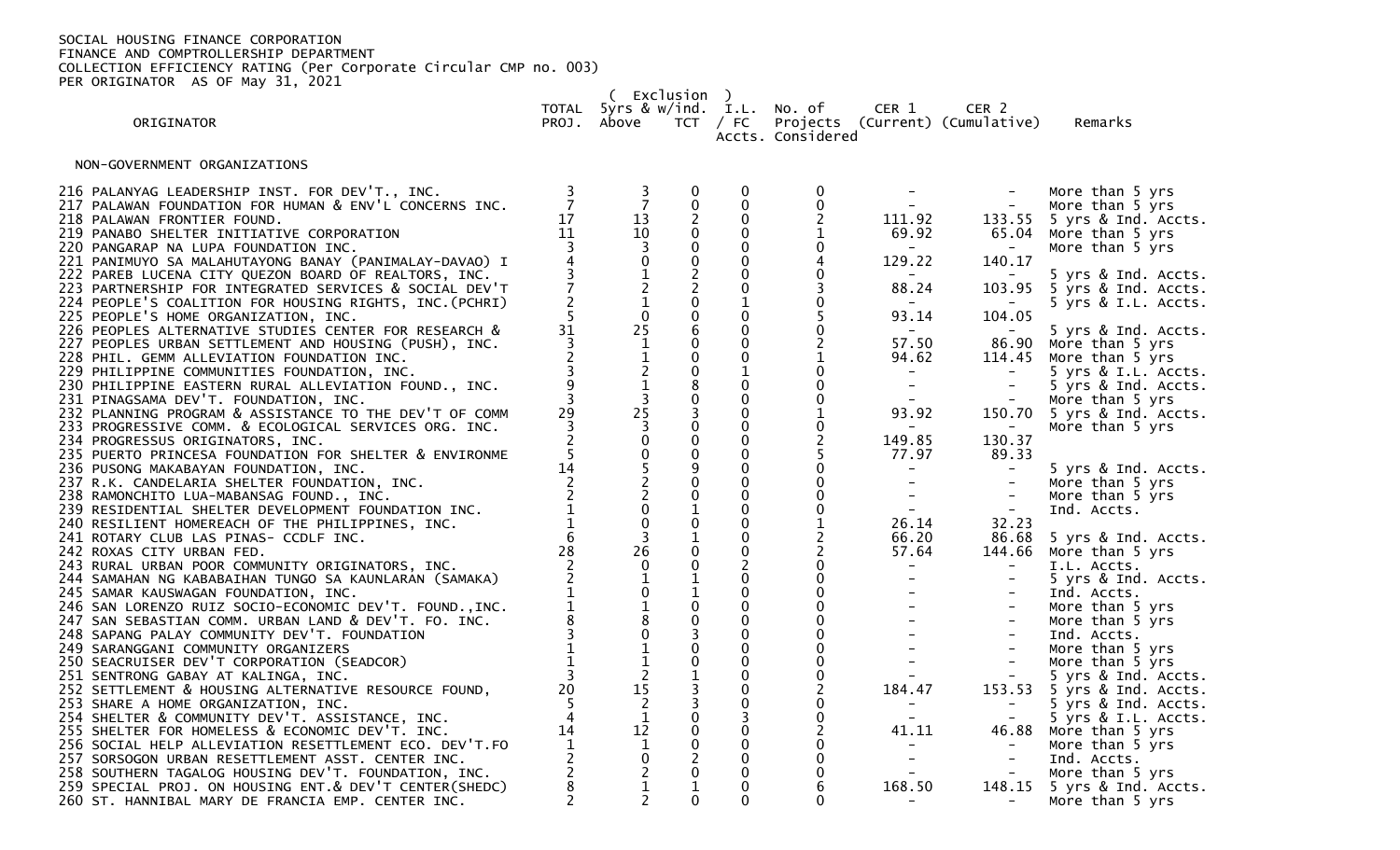( Exclusion )

TOTAL 5yrs & w/ind. I.L. No. of CER 1 CER 2

ORIGINATOR PROJ. Above TCT / FC Projects (Current) (Cumulative) Remarks

Accts. Considered

NON-GOVERNMENT ORGANIZATIONS

| 216 PALANYAG LEADERSHIP INST. FOR DEV'T., INC.<br>217 PALAWAN FOUNDATION FOR HUMAN & ENV'L CONCERNS INC.<br>218 PALAWAN FRONTIER FOUND.<br>219 PANABO SHELTER INITIATIVE CORPORATION<br>220 PANGARAP NA LUPA FOUNDATION INC.<br>221 PANIMUYO SA MALAHUTAYONG BANAY (PANIMALAY-DAVAO) I | 17<br>11 | $\frac{3}{7}$<br>13<br>10 | $\bf{0}$<br>$\mathbf 0$ | 0<br>$\pmb{0}$<br>0<br>$\mathbf{0}$<br>0<br>0   | 111.92<br>69.92<br>129.22                  | $\equiv$<br>140.17                                                     | More than 5 yrs<br>More than 5 yrs<br>133.55 5 yrs & Ind. Accts.<br>65.04 More than 5 yrs<br>More than 5 yrs |
|----------------------------------------------------------------------------------------------------------------------------------------------------------------------------------------------------------------------------------------------------------------------------------------|----------|---------------------------|-------------------------|-------------------------------------------------|--------------------------------------------|------------------------------------------------------------------------|--------------------------------------------------------------------------------------------------------------|
| 222 PAREB LUCENA CITY QUEZON BOARD OF REALTORS, INC.<br>223 PARTNERSHIP FOR INTEGRATED SERVICES & SOCIAL DEV'T<br>224 PEOPLE'S COALITION FOR HOUSING RIGHTS, INC. (PCHRI)<br>225 PEOPLE'S HOME ORGANIZATION, INC.                                                                      |          | $\mathbf 0$               | $\mathbf 0$             | $\mathbf{0}$<br>0                               | $\sim$<br>88.24<br>$\sim$ $ \sim$<br>93.14 | $\sim$<br>104.05                                                       | 5 yrs & Ind. Accts.<br>103.95 5 yrs & Ind. Accts.<br>5 yrs & I.L. Accts.                                     |
| 226 PEOPLES ALTERNATIVE STUDIES CENTER FOR RESEARCH &<br>227 PEOPLES URBAN SETTLEMENT AND HOUSING (PUSH), INC.<br>228 PHIL. GEMM ALLEVIATION FOUNDATION INC.<br>229 PHILIPPINE COMMUNITIES FOUNDATION, INC.                                                                            | 31       | 25                        |                         | 0<br>$\mathbf{0}$<br>0                          | $\sim$<br>57.50<br>94.62<br>$\sim$ $-$     | 86.90                                                                  | 5 yrs & Ind. Accts.<br>More than 5 yrs<br>114.45 More than 5 yrs<br>5 yrs & I.L. Accts.                      |
| 230 PHILIPPINE EASTERN RURAL ALLEVIATION FOUND., INC.<br>231 PINAGSAMA DEV'T. FOUNDATION, INC.<br>232 PLANNING PROGRAM & ASSISTANCE TO THE DEV'T OF COMM<br>233 PROGRESSIVE COMM. & ECOLOGICAL SERVICES ORG. INC.                                                                      | 29       | 25                        |                         | $\mathbf{0}$<br>$\mathbf 0$<br>0<br>$\mathbf 0$ | $\sim$<br>$\sim$<br>93.92                  | $\overline{\phantom{a}}$                                               | 5 yrs & Ind. Accts.<br>More than 5 yrs<br>150.70 5 yrs & Ind. Accts.<br>More than 5 yrs                      |
| 234 PROGRESSUS ORIGINATORS, INC.<br>235 PUERTO PRINCESA FOUNDATION FOR SHELTER & ENVIRONME<br>236 PUSONG MAKABAYAN FOUNDATION, INC.<br>237 R.K. CANDELARIA SHELTER FOUNDATION, INC.<br>238 RAMONCHITO LUA-MABANSAG FOUND., INC.                                                        | 14       |                           |                         | 0<br>0<br>$\mathbf 0$<br>0<br>0                 | 149.85<br>77.97<br>$\sim$                  | 130.37<br>89.33<br>$\equiv$                                            | 5 yrs & Ind. Accts.<br>More than 5 yrs<br>More than 5 yrs                                                    |
| 239 RESIDENTIAL SHELTER DEVELOPMENT FOUNDATION INC.<br>240 RESILIENT HOMEREACH OF THE PHILIPPINES, INC.<br>241 ROTARY CLUB LAS PINAS- CCDLF INC.<br>242 ROXAS CITY URBAN FED.                                                                                                          | 28       | $2\overline{6}$           |                         | 0<br>$\pmb{0}$<br>0<br>$\tilde{0}$              | 26.14<br>66.20<br>57.64                    | 32.23                                                                  | Ind. Accts.<br>86.68 5 yrs & Ind. Accts.<br>144.66 More than 5 yrs                                           |
| 243 RURAL URBAN POOR COMMUNITY ORIGINATORS, INC.<br>244 SAMAHAN NG KABABAIHAN TUNGO SA KAUNLARAN (SAMAKA)<br>245 SAMAR KAUSWAGAN FOUNDATION, INC.<br>246 SAN LORENZO RUIZ SOCIO-ECONOMIC DEV'T. FOUND., INC.                                                                           |          | $\mathbf 0$<br>$\Omega$   |                         | $\overline{c}$<br>0<br>0<br>0                   | $\sim$<br>$\sim$                           | $\overline{\phantom{m}}$<br>$\overline{\phantom{a}}$<br>$\blacksquare$ | I.L. Accts.<br>5 yrs & Ind. Accts.<br>Ind. Accts.<br>More than 5 yrs                                         |
| 247 SAN SEBASTIAN COMM. URBAN LAND & DEV'T. FO. INC.<br>248 SAPANG PALAY COMMUNITY DEV'T. FOUNDATION<br>249 SARANGGANI COMMUNITY ORGANIZERS<br>250 SEACRUISER DEV'T CORPORATION (SEADCOR)                                                                                              |          |                           |                         | $\mathbf{0}$<br>0<br>0                          |                                            | $\equiv$<br>$\overline{\phantom{a}}$                                   | More than 5 yrs<br>Ind. Accts.<br>More than 5 yrs<br>More than 5 yrs                                         |
| 251 SENTRONG GABAY AT KALINGA, INC.<br>252 SETTLEMENT & HOUSING ALTERNATIVE RESOURCE FOUND,<br>253 SHARE A HOME ORGANIZATION, INC.<br>254 SHELTER & COMMUNITY DEV'T. ASSISTANCE, INC.                                                                                                  | 20       | $1\overline{5}$<br>2      |                         | 0<br>0<br>0<br>3                                | 184.47<br>$\sim$ $-$                       |                                                                        | 5 yrs & Ind. Accts.<br>153.53 5 yrs & Ind. Accts.<br>5 yrs & Ind. Accts.<br>5 yrs & I.L. Accts.              |
| 255 SHELTER FOR HOMELESS & ECONOMIC DEV'T. INC.<br>256 SOCIAL HELP ALLEVIATION RESETTLEMENT ECO. DEV'T.FO<br>257 SORSOGON URBAN RESETTLEMENT ASST. CENTER INC.<br>258 SOUTHERN TAGALOG HOUSING DEV'T. FOUNDATION, INC.                                                                 | 14       | 12<br>1                   |                         | 0<br>$\Omega$<br>0<br>0                         | 41.11                                      |                                                                        | 46.88 More than 5 yrs<br>More than 5 yrs<br>Ind. Accts.<br>More than 5 yrs                                   |
| 259 SPECIAL PROJ. ON HOUSING ENT.& DEV'T CENTER(SHEDC)<br>260 ST. HANNIBAL MARY DE FRANCIA EMP. CENTER INC.                                                                                                                                                                            |          |                           |                         | 0<br>$\Omega$                                   | 168.50<br>$\sim$                           | 148.15                                                                 | 5 yrs & Ind. Accts.<br>More than 5 yrs                                                                       |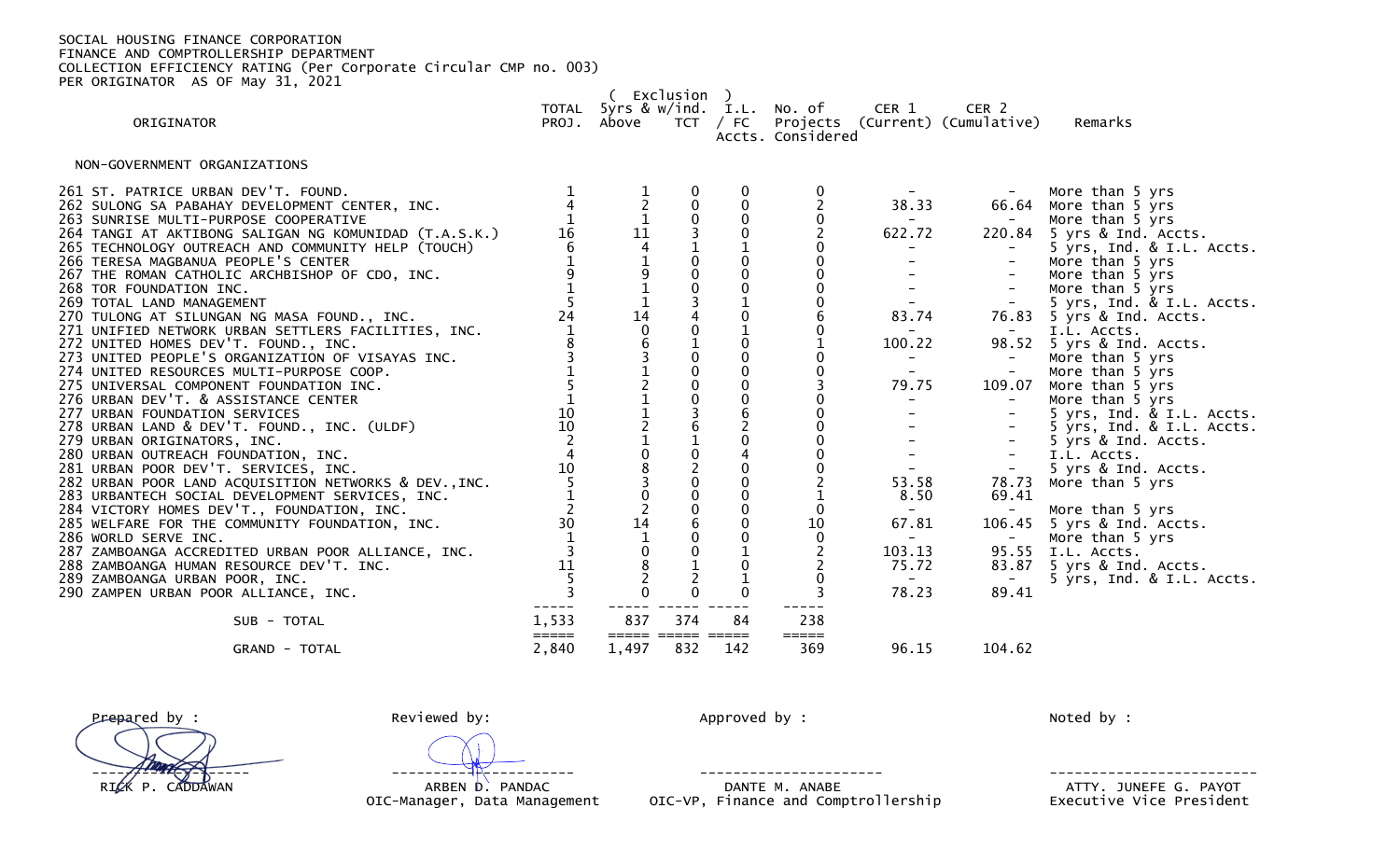( Exclusion ) TOTAL 5yrs & w/ind. I.L. No. of CER 1 CER 2 Projects (Current) (Cumulative) Remarks

Accts. Considered

NON-GOVERNMENT ORGANIZATIONS

| 261 ST. PATRICE URBAN DEV'T. FOUND.<br>262 SULONG SA PABAHAY DEVELOPMENT CENTER, INC.<br>263 SUNRISE MULTI-PURPOSE COOPERATIVE<br>264 TANGI AT AKTIBONG SALIGAN NG KOMUNIDAD (T.A.S.K.)<br>265 TECHNOLOGY OUTREACH AND COMMUNITY HELP (TOUCH)<br>266 TERESA MAGBANUA PEOPLE'S CENTER<br>267 THE ROMAN CATHOLIC ARCHBISHOP OF CDO, INC.<br>268 TOR FOUNDATION INC.<br>269 TOTAL LAND MANAGEMENT<br>270 TULONG AT SILUNGAN NG MASA FOUND., INC.<br>271 UNIFIED NETWORK URBAN SETTLERS FACILITIES, INC.<br>272 UNITED HOMES DEV'T. FOUND., INC.<br>273 UNITED PEOPLE'S ORGANIZATION OF VISAYAS INC.<br>274 UNITED RESOURCES MULTI-PURPOSE COOP.<br>275 UNIVERSAL COMPONENT FOUNDATION INC.<br>276 URBAN DEV'T. & ASSISTANCE CENTER<br>277 URBAN FOUNDATION SERVICES<br>278 URBAN LAND & DEV'T. FOUND., INC. (ULDF)<br>279 URBAN ORIGINATORS, INC.<br>280 URBAN OUTREACH FOUNDATION, INC.<br>281 URBAN POOR DEV'T. SERVICES, INC.<br>282 URBAN POOR LAND ACQUISITION NETWORKS & DEV., INC.<br>283 URBANTECH SOCIAL DEVELOPMENT SERVICES, INC.<br>284 VICTORY HOMES DEV'T., FOUNDATION, INC.<br>285 WELFARE FOR THE COMMUNITY FOUNDATION, INC.<br>286 WORLD SERVE INC.<br>287 ZAMBOANGA ACCREDITED URBAN POOR ALLIANCE, INC. | 16<br>24<br>$\frac{10}{10}$<br>10<br>30<br>11 | $\frac{11}{4}$<br>$\begin{array}{c}\n1\overline{4} \\ 0 \\ 6\n\end{array}$<br>14 | $\pmb{0}$<br>$\frac{1}{0}$<br>$\pmb{0}$<br>$\frac{0}{3}$<br>$_{0}^{0}$<br>$\overline{0}$<br>$\frac{3}{6}$<br>6<br>$\overline{0}$<br>$\Omega$ | $\pmb{0}$<br>$\mathbf 0$<br>$\mathbf{0}$<br>$\mathbf 0$ | 10           | 38.33<br>622.72<br>$\sim$ $-$<br>83.74<br>$\sim$<br>100.22<br>$\sim$ $-$<br>79.75<br>$\overline{\phantom{a}}$<br>53.58<br>8.50<br>$\sim$ 10 $\pm$<br>67.81<br>$\overline{\phantom{0}}$<br>103.13 | $\overline{\phantom{m}}$<br>220.84<br>$\sim$<br>$\equiv$<br>$\sim$ .<br>76.83<br>$\sim$<br>$\overline{\phantom{m}}$<br>$\equiv$<br>109.07<br>$ \,$<br>$\sim$<br>$\blacksquare$<br>$\sim$<br>78.73<br>69.41<br>106.45<br>95.55 | More than 5 yrs<br>66.64 More than 5 yrs<br>More than 5 yrs<br>5 yrs & Ind. Accts.<br>5 yrs, Ind. & I.L. Accts.<br>More than 5 yrs<br>More than 5 yrs<br>More than 5 yrs<br>5 yrs, Ind. & I.L. Accts.<br>5 yrs & Ind. Accts.<br>I.L. Accts.<br>98.52 5 yrs & Ind. Accts.<br>More than 5 yrs<br>More than 5 yrs<br>More than 5 yrs<br>More than 5 yrs<br>5 yrs, Ind. & I.L. Accts.<br>5 yrs, Ind. & I.L. Accts.<br>5 yrs & Ind. Accts.<br>I.L. Accts.<br>5 yrs & Ind. Accts.<br>More than 5 yrs<br>More than 5 yrs<br>5 yrs & Ind. Accts.<br>More than 5 yrs<br>I.L. Accts. |
|-------------------------------------------------------------------------------------------------------------------------------------------------------------------------------------------------------------------------------------------------------------------------------------------------------------------------------------------------------------------------------------------------------------------------------------------------------------------------------------------------------------------------------------------------------------------------------------------------------------------------------------------------------------------------------------------------------------------------------------------------------------------------------------------------------------------------------------------------------------------------------------------------------------------------------------------------------------------------------------------------------------------------------------------------------------------------------------------------------------------------------------------------------------------------------------------------------------------------|-----------------------------------------------|----------------------------------------------------------------------------------|----------------------------------------------------------------------------------------------------------------------------------------------|---------------------------------------------------------|--------------|--------------------------------------------------------------------------------------------------------------------------------------------------------------------------------------------------|-------------------------------------------------------------------------------------------------------------------------------------------------------------------------------------------------------------------------------|----------------------------------------------------------------------------------------------------------------------------------------------------------------------------------------------------------------------------------------------------------------------------------------------------------------------------------------------------------------------------------------------------------------------------------------------------------------------------------------------------------------------------------------------------------------------------|
|                                                                                                                                                                                                                                                                                                                                                                                                                                                                                                                                                                                                                                                                                                                                                                                                                                                                                                                                                                                                                                                                                                                                                                                                                         |                                               |                                                                                  |                                                                                                                                              |                                                         |              |                                                                                                                                                                                                  |                                                                                                                                                                                                                               |                                                                                                                                                                                                                                                                                                                                                                                                                                                                                                                                                                            |
| 288 ZAMBOANGA HUMAN RESOURCE DEV'T. INC.<br>289 ZAMBOANGA URBAN POOR, INC.                                                                                                                                                                                                                                                                                                                                                                                                                                                                                                                                                                                                                                                                                                                                                                                                                                                                                                                                                                                                                                                                                                                                              |                                               |                                                                                  |                                                                                                                                              |                                                         |              | 75.72<br>$\sim$ 100 $\mu$                                                                                                                                                                        | 83.87                                                                                                                                                                                                                         | 5 yrs & Ind. Accts.<br>5 yrs, Ind. & I.L. Accts.                                                                                                                                                                                                                                                                                                                                                                                                                                                                                                                           |
| 290 ZAMPEN URBAN POOR ALLIANCE, INC.                                                                                                                                                                                                                                                                                                                                                                                                                                                                                                                                                                                                                                                                                                                                                                                                                                                                                                                                                                                                                                                                                                                                                                                    |                                               |                                                                                  |                                                                                                                                              | $\mathbf{0}$                                            |              | 78.23                                                                                                                                                                                            | 89.41                                                                                                                                                                                                                         |                                                                                                                                                                                                                                                                                                                                                                                                                                                                                                                                                                            |
| SUB - TOTAL                                                                                                                                                                                                                                                                                                                                                                                                                                                                                                                                                                                                                                                                                                                                                                                                                                                                                                                                                                                                                                                                                                                                                                                                             | 1,533                                         | 837                                                                              | 374                                                                                                                                          | 84                                                      | 238          |                                                                                                                                                                                                  |                                                                                                                                                                                                                               |                                                                                                                                                                                                                                                                                                                                                                                                                                                                                                                                                                            |
| GRAND - TOTAL                                                                                                                                                                                                                                                                                                                                                                                                                                                                                                                                                                                                                                                                                                                                                                                                                                                                                                                                                                                                                                                                                                                                                                                                           | $=====$<br>2,840                              | =====<br>1,497                                                                   | =====<br>832                                                                                                                                 | $=====$<br>142                                          | =====<br>369 | 96.15                                                                                                                                                                                            | 104.62                                                                                                                                                                                                                        |                                                                                                                                                                                                                                                                                                                                                                                                                                                                                                                                                                            |

Prepared by : The reviewed by: The Reviewed by: Approved by : Noted by : Noted by : ------------------- ---------------------- ---------------------- -------------------------

 RICK P. CADDAWAN ARBEN D. PANDAC DANTE M. ANABE ATTY. JUNEFE G. PAYOT OIC-VP, Finance and Comptrollership